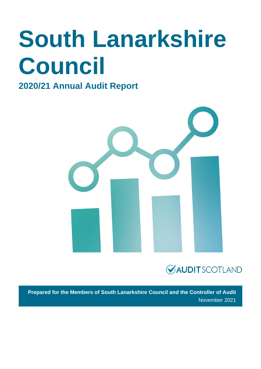# **South Lanarkshire Council**

### **2020/21 Annual Audit Report**





**Prepared for the Members of South Lanarkshire Council and the Controller of Audit** November 2021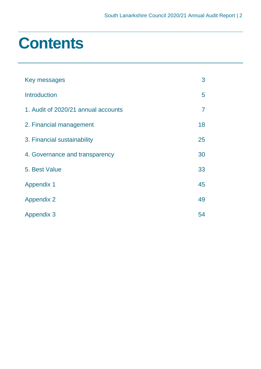### **Contents**

| Key messages                        | 3              |
|-------------------------------------|----------------|
| <b>Introduction</b>                 | 5              |
| 1. Audit of 2020/21 annual accounts | $\overline{7}$ |
| 2. Financial management             | 18             |
| 3. Financial sustainability         | 25             |
| 4. Governance and transparency      | 30             |
| 5. Best Value                       | 33             |
| <b>Appendix 1</b>                   | 45             |
| <b>Appendix 2</b>                   | 49             |
| <b>Appendix 3</b>                   | 54             |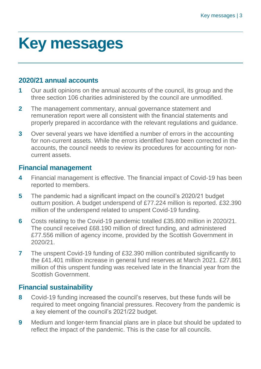## <span id="page-2-0"></span>**Key messages**

#### **2020/21 annual accounts**

- **1** Our audit opinions on the annual accounts of the council, its group and the three section 106 charities administered by the council are unmodified.
- **2** The management commentary, annual governance statement and remuneration report were all consistent with the financial statements and properly prepared in accordance with the relevant regulations and guidance.
- **3** Over several years we have identified a number of errors in the accounting for non-current assets. While the errors identified have been corrected in the accounts, the council needs to review its procedures for accounting for noncurrent assets.

#### **Financial management**

- **4** Financial management is effective. The financial impact of Covid-19 has been reported to members.
- **5** The pandemic had a significant impact on the council's 2020/21 budget outturn position. A budget underspend of £77.224 million is reported. £32.390 million of the underspend related to unspent Covid-19 funding.
- **6** Costs relating to the Covid-19 pandemic totalled £35.800 million in 2020/21. The council received £68.190 million of direct funding, and administered £77.556 million of agency income, provided by the Scottish Government in 2020/21.
- **7** The unspent Covid-19 funding of £32.390 million contributed significantly to the £41.401 million increase in general fund reserves at March 2021. £27.861 million of this unspent funding was received late in the financial year from the Scottish Government.

#### **Financial sustainability**

- **8** Covid-19 funding increased the council's reserves, but these funds will be required to meet ongoing financial pressures. Recovery from the pandemic is a key element of the council's 2021/22 budget.
- **9** Medium and longer-term financial plans are in place but should be updated to reflect the impact of the pandemic. This is the case for all councils.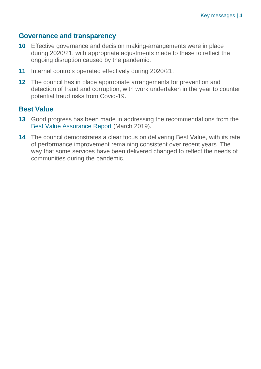#### **Governance and transparency**

- **10** Effective governance and decision making-arrangements were in place during 2020/21, with appropriate adjustments made to these to reflect the ongoing disruption caused by the pandemic.
- **11** Internal controls operated effectively during 2020/21.
- **12** The council has in place appropriate arrangements for prevention and detection of fraud and corruption, with work undertaken in the year to counter potential fraud risks from Covid-19.

#### **Best Value**

- **13** Good progress has been made in addressing the recommendations from the [Best Value Assurance Report](https://www.audit-scotland.gov.uk/uploads/docs/report/2019/bv_190328_south_lanarkshire.pdf) (March 2019).
- **14** The council demonstrates a clear focus on delivering Best Value, with its rate of performance improvement remaining consistent over recent years. The way that some services have been delivered changed to reflect the needs of communities during the pandemic.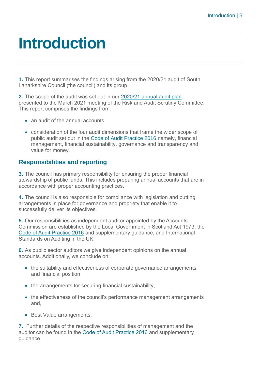### <span id="page-4-0"></span>**Introduction**

**1.** This report summarises the findings arising from the 2020/21 audit of South Lanarkshire Council (the council) and its group.

**2.** The scope of the audit was set out in our [2020/21 annual audit plan](https://www.audit-scotland.gov.uk/uploads/docs/report/2021/aap_2021_south_lanarkshire.pdf) presented to the March 2021 meeting of the Risk and Audit Scrutiny Committee. This report comprises the findings from:

- an audit of the annual accounts
- consideration of the four audit dimensions that frame the wider scope of public audit set out in the [Code of Audit Practice 2016](http://www.audit-scotland.gov.uk/report/code-of-audit-practice-2016) namely, financial management, financial sustainability, governance and transparency and value for money.

#### **Responsibilities and reporting**

**3.** The council has primary responsibility for ensuring the proper financial stewardship of public funds. This includes preparing annual accounts that are in accordance with proper accounting practices.

**4.** The council is also responsible for compliance with legislation and putting arrangements in place for governance and propriety that enable it to successfully deliver its objectives.

**5.** Our responsibilities as independent auditor appointed by the Accounts Commission are established by the Local Government in Scotland Act 1973, the [Code of Audit Practice 2016](http://www.audit-scotland.gov.uk/report/code-of-audit-practice-2016) and supplementary guidance, and International Standards on Auditing in the UK.

**6.** As public sector auditors we give independent opinions on the annual accounts. Additionally, we conclude on:

- the suitability and effectiveness of corporate governance arrangements, and financial position
- the arrangements for securing financial sustainability,
- the effectiveness of the council's performance management arrangements and,
- Best Value arrangements.

**7.** Further details of the respective responsibilities of management and the auditor can be found in the [Code of Audit Practice 2016](http://www.audit-scotland.gov.uk/report/code-of-audit-practice-2016) and supplementary guidance.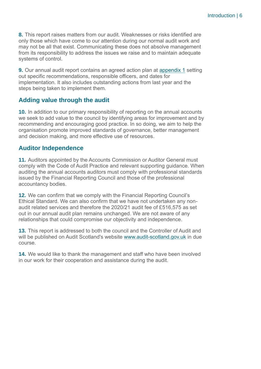**8.** This report raises matters from our audit. Weaknesses or risks identified are only those which have come to our attention during our normal audit work and may not be all that exist. Communicating these does not absolve management from its responsibility to address the issues we raise and to maintain adequate systems of control.

**9.** Our annual audit report contains an agreed action plan at [appendix 1](#page-44-0) setting out specific recommendations, responsible officers, and dates for implementation. It also includes outstanding actions from last year and the steps being taken to implement them.

#### **Adding value through the audit**

**10.** In addition to our primary responsibility of reporting on the annual accounts we seek to add value to the council by identifying areas for improvement and by recommending and encouraging good practice. In so doing, we aim to help the organisation promote improved standards of governance, better management and decision making, and more effective use of resources.

#### **Auditor Independence**

**11.** Auditors appointed by the Accounts Commission or Auditor General must comply with the Code of Audit Practice and relevant supporting guidance. When auditing the annual accounts auditors must comply with professional standards issued by the Financial Reporting Council and those of the professional accountancy bodies.

**12.** We can confirm that we comply with the Financial Reporting Council's Ethical Standard. We can also confirm that we have not undertaken any nonaudit related services and therefore the 2020/21 audit fee of £516,575 as set out in our annual audit plan remains unchanged. We are not aware of any relationships that could compromise our objectivity and independence.

**13.** This report is addressed to both the council and the Controller of Audit and will be published on Audit Scotland's website [www.audit-scotland.gov.uk](http://www.audit-scotland.gov.uk/) in due course.

**14.** We would like to thank the management and staff who have been involved in our work for their cooperation and assistance during the audit.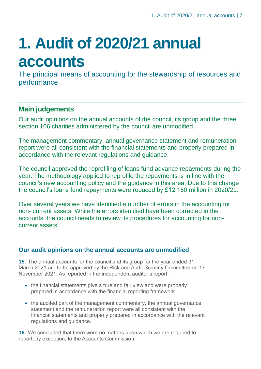# <span id="page-6-0"></span>**1. Audit of 2020/21 annual accounts**

The principal means of accounting for the stewardship of resources and performance

### **Main judgements**

Our audit opinions on the annual accounts of the council, its group and the three section 106 charities administered by the council are unmodified.

The management commentary, annual governance statement and remuneration report were all consistent with the financial statements and properly prepared in accordance with the relevant regulations and guidance.

The council approved the reprofiling of loans fund advance repayments during the year. The methodology applied to reprofile the repayments is in line with the council's new accounting policy and the guidance in this area. Due to this change the council's loans fund repayments were reduced by £12.160 million in 2020/21.

Over several years we have identified a number of errors in the accounting for non- current assets. While the errors identified have been corrected in the accounts, the council needs to review its procedures for accounting for noncurrent assets.

#### **Our audit opinions on the annual accounts are unmodified**

**15.** The annual accounts for the council and its group for the year ended 31 March 2021 are to be approved by the Risk and Audit Scrutiny Committee on 17 November 2021. As reported in the independent auditor's report:

- the financial statements give a true and fair view and were properly prepared in accordance with the financial reporting framework
- the audited part of the management commentary, the annual governance statement and the remuneration report were all consistent with the financial statements and properly prepared in accordance with the relevant regulations and guidance.

**16.** We concluded that there were no matters upon which we are required to report, by exception, to the Accounts Commission.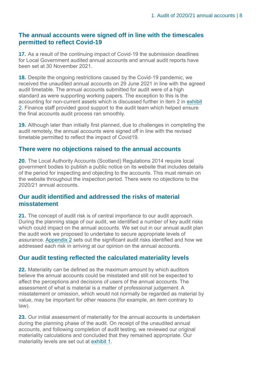#### **The annual accounts were signed off in line with the timescales permitted to reflect Covid-19**

**17.** As a result of the continuing impact of Covid-19 the submission deadlines for Local Government audited annual accounts and annual audit reports have been set at 30 November 2021.

**18.** Despite the ongoing restrictions caused by the Covid-19 pandemic, we received the unaudited annual accounts on 29 June 2021 in line with the agreed audit timetable. The annual accounts submitted for audit were of a high standard as were supporting working papers. The exception to this is the accounting for non-current assets which is discussed further in item 2 in [exhibit](#page-9-0)  [2.](#page-9-0) Finance staff provided good support to the audit team which helped ensure the final accounts audit process ran smoothly.

**19.** Although later than initially first planned, due to challenges in completing the audit remotely, the annual accounts were signed off in line with the revised timetable permitted to reflect the impact of Covid19.

#### **There were no objections raised to the annual accounts**

**20.** The Local Authority Accounts (Scotland) Regulations 2014 require local government bodies to publish a public notice on its website that includes details of the period for inspecting and objecting to the accounts. This must remain on the website throughout the inspection period. There were no objections to the 2020/21 annual accounts.

#### **Our audit identified and addressed the risks of material misstatement**

**21.** The concept of audit risk is of central importance to our audit approach. During the planning stage of our audit, we identified a number of key audit risks which could impact on the annual accounts. We set out in our annual audit plan the audit work we proposed to undertake to secure appropriate levels of assurance. [Appendix 2](#page-48-0) sets out the significant audit risks identified and how we addressed each risk in arriving at our opinion on the annual accounts.

#### **Our audit testing reflected the calculated materiality levels**

**22.** Materiality can be defined as the maximum amount by which auditors believe the annual accounts could be misstated and still not be expected to affect the perceptions and decisions of users of the annual accounts. The assessment of what is material is a matter of professional judgement. A misstatement or omission, which would not normally be regarded as material by value, may be important for other reasons (for example, an item contrary to law).

**23.** Our initial assessment of materiality for the annual accounts is undertaken during the planning phase of the audit. On receipt of the unaudited annual accounts, and following completion of audit testing, we reviewed our original materiality calculations and concluded that they remained appropriate. Our materiality levels are set out at [exhibit 1.](#page-8-0)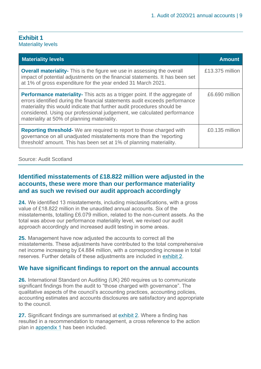#### <span id="page-8-0"></span>**Exhibit 1** Materiality levels

| <b>Materiality levels</b>                                                                                                                                                                                                                                                                                                                                             | <b>Amount</b>   |
|-----------------------------------------------------------------------------------------------------------------------------------------------------------------------------------------------------------------------------------------------------------------------------------------------------------------------------------------------------------------------|-----------------|
| <b>Overall materiality-</b> This is the figure we use in assessing the overall<br>impact of potential adjustments on the financial statements. It has been set<br>at 1% of gross expenditure for the year ended 31 March 2021.                                                                                                                                        | £13.375 million |
| <b>Performance materiality-</b> This acts as a trigger point. If the aggregate of<br>errors identified during the financial statements audit exceeds performance<br>materiality this would indicate that further audit procedures should be<br>considered. Using our professional judgement, we calculated performance<br>materiality at 50% of planning materiality. | £6.690 million  |
| <b>Reporting threshold-</b> We are required to report to those charged with<br>governance on all unadjusted misstatements more than the 'reporting<br>threshold' amount. This has been set at 1% of planning materiality.                                                                                                                                             | £0.135 million  |

Source: Audit Scotland

#### **Identified misstatements of £18.822 million were adjusted in the accounts, these were more than our performance materiality and as such we revised our audit approach accordingly**

**24.** We identified 13 misstatements, including misclassifications, with a gross value of £18.822 million in the unaudited annual accounts. Six of the misstatements, totalling £6.079 million, related to the non-current assets. As the total was above our performance materiality level, we revised our audit approach accordingly and increased audit testing in some areas.

**25.** Management have now adjusted the accounts to correct all the misstatements. These adjustments have contributed to the total comprehensive net income increasing by £4.884 million, with a corresponding increase in total reserves. Further details of these adjustments are included in [exhibit 2.](#page-9-0)

#### **We have significant findings to report on the annual accounts**

**26.** International Standard on Auditing (UK) 260 requires us to communicate significant findings from the audit to "those charged with governance". The qualitative aspects of the council's accounting practices, accounting policies, accounting estimates and accounts disclosures are satisfactory and appropriate to the council.

**27.** Significant findings are summarised at [exhibit 2.](#page-9-0) Where a finding has resulted in a recommendation to management, a cross reference to the action plan in [appendix 1](#page-44-0) has been included.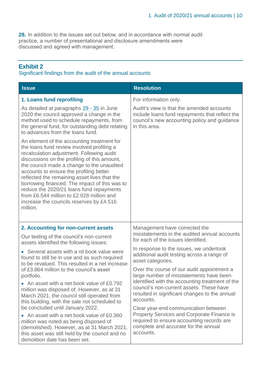**28.** In addition to the issues set out below, and in accordance with normal audit practice, a number of presentational and disclosure amendments were discussed and agreed with management.

#### <span id="page-9-0"></span>**Exhibit 2**

#### Significant findings from the audit of the annual accounts

| <b>Issue</b>                                                                                                                                                                                                                                                                                                                                                                                                                                                                                                                     | <b>Resolution</b>                                                                                                                                            |  |  |
|----------------------------------------------------------------------------------------------------------------------------------------------------------------------------------------------------------------------------------------------------------------------------------------------------------------------------------------------------------------------------------------------------------------------------------------------------------------------------------------------------------------------------------|--------------------------------------------------------------------------------------------------------------------------------------------------------------|--|--|
| 1. Loans fund reprofiling                                                                                                                                                                                                                                                                                                                                                                                                                                                                                                        | For information only.                                                                                                                                        |  |  |
| As detailed at paragraphs 29 - 35 in June<br>2020 the council approved a change in the<br>method used to schedule repayments, from<br>the general fund, for outstanding debt relating<br>to advances from the loans fund.                                                                                                                                                                                                                                                                                                        | Audit's view is that the amended accounts<br>include loans fund repayments that reflect the<br>council's new accounting policy and guidance<br>in this area. |  |  |
| An element of the accounting treatment for<br>the loans fund review involved profiling a<br>recalculation adjustment. Following audit<br>discussions on the profiling of this amount,<br>the council made a change to the unaudited<br>accounts to ensure the profiling better<br>reflected the remaining asset lives that the<br>borrowing financed. The impact of this was to<br>reduce the 2020/21 loans fund repayments<br>from £6.544 million to £2.028 million and<br>increase the councils reserves by £4.516<br>million. |                                                                                                                                                              |  |  |
| 2. Accounting for non-current assets                                                                                                                                                                                                                                                                                                                                                                                                                                                                                             | Management have corrected the<br>misstatements in the audited annual accounts                                                                                |  |  |
| Our testing of the council's non-current<br>assets identified the following issues:                                                                                                                                                                                                                                                                                                                                                                                                                                              | for each of the issues identified.                                                                                                                           |  |  |
| • Several assets with a nil book value were<br>found to still be in use and as such required<br>to be revalued. This resulted in a net increase                                                                                                                                                                                                                                                                                                                                                                                  | In response to the issues, we undertook<br>additional audit testing across a range of<br>asset categories.                                                   |  |  |
| of £3.864 million to the council's asset<br>portfolio.                                                                                                                                                                                                                                                                                                                                                                                                                                                                           | Over the course of our audit appointment a<br>large number of misstatements have been                                                                        |  |  |
| • An asset with a net book value of £0.792<br>million was disposed of. However, as at 31<br>March 2021, the council still operated from<br>this building, with the sale not scheduled to                                                                                                                                                                                                                                                                                                                                         | identified with the accounting treatment of the<br>council's non-current assets. These have<br>resulted in significant changes to the annual<br>accounts.    |  |  |
| be concluded until January 2022.<br>• An asset with a net book value of £0.360                                                                                                                                                                                                                                                                                                                                                                                                                                                   | Clear year-end communication between<br><b>Property Services and Corporate Finance is</b>                                                                    |  |  |
| million was noted as being disposed of<br>(demolished). However, as at 31 March 2021,<br>this asset was still held by the council and no<br>demolition date has been set.                                                                                                                                                                                                                                                                                                                                                        | required to ensure accounting records are<br>complete and accurate for the annual<br>accounts.                                                               |  |  |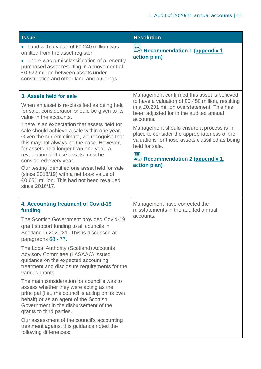| <b>Issue</b>                                                                                                                                                                                                                                                                                                                                                                                                                                                                                                                                                                                                                                                                                                                                                                              | <b>Resolution</b>                                                                                                                                                                                                                                                                                                                                                                                                                               |
|-------------------------------------------------------------------------------------------------------------------------------------------------------------------------------------------------------------------------------------------------------------------------------------------------------------------------------------------------------------------------------------------------------------------------------------------------------------------------------------------------------------------------------------------------------------------------------------------------------------------------------------------------------------------------------------------------------------------------------------------------------------------------------------------|-------------------------------------------------------------------------------------------------------------------------------------------------------------------------------------------------------------------------------------------------------------------------------------------------------------------------------------------------------------------------------------------------------------------------------------------------|
| • Land with a value of £0.240 million was<br>omitted from the asset register.<br>• There was a misclassification of a recently<br>purchased asset resulting in a movement of<br>£0.622 million between assets under<br>construction and other land and buildings.                                                                                                                                                                                                                                                                                                                                                                                                                                                                                                                         | <b>ED</b><br>ED Recommendation 1 (appendix 1,<br>action plan)                                                                                                                                                                                                                                                                                                                                                                                   |
| 3. Assets held for sale<br>When an asset is re-classified as being held<br>for sale, consideration should be given to its<br>value in the accounts.<br>There is an expectation that assets held for<br>sale should achieve a sale within one year.<br>Given the current climate, we recognise that<br>this may not always be the case. However,<br>for assets held longer than one year, a<br>revaluation of these assets must be<br>considered every year.<br>Our testing identified one asset held for sale<br>(since 2018/19) with a net book value of<br>£0.651 million. This had not been revalued<br>since 2016/17.                                                                                                                                                                 | Management confirmed this asset is believed<br>to have a valuation of £0.450 million, resulting<br>in a £0.201 million overstatement. This has<br>been adjusted for in the audited annual<br>accounts.<br>Management should ensure a process is in<br>place to consider the appropriateness of the<br>valuations for those assets classified as being<br>held for sale.<br><b>ED</b><br><b>ED</b> Recommendation 2 (appendix 1,<br>action plan) |
| 4. Accounting treatment of Covid-19<br>funding<br>The Scottish Government provided Covid-19<br>grant support funding to all councils in<br>Scotland in 2020/21. This is discussed at<br>paragraphs 68 - 77.<br>The Local Authority (Scotland) Accounts<br>Advisory Committee (LASAAC) issued<br>guidance on the expected accounting<br>treatment and disclosure requirements for the<br>various grants.<br>The main consideration for council's was to<br>assess whether they were acting as the<br>principal (i.e., the council is acting on its own<br>behalf) or as an agent of the Scottish<br>Government in the disbursement of the<br>grants to third parties.<br>Our assessment of the council's accounting<br>treatment against this guidance noted the<br>following differences: | Management have corrected the<br>misstatements in the audited annual<br>accounts.                                                                                                                                                                                                                                                                                                                                                               |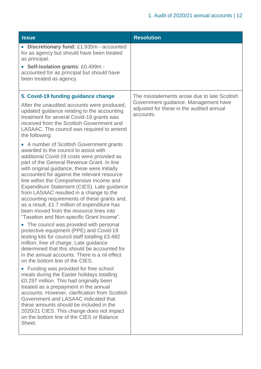| <b>Issue</b>                                                                                                                                                                                                                                                                                                                                                                                                                                                                                                                                                                                                                                                                                                                                                                                                                                                                                                                                                                                                                                                                                                                                                                                                                                                                                                                                                                                                                                                                                                                                                                                    | <b>Resolution</b>                                                                                                                             |
|-------------------------------------------------------------------------------------------------------------------------------------------------------------------------------------------------------------------------------------------------------------------------------------------------------------------------------------------------------------------------------------------------------------------------------------------------------------------------------------------------------------------------------------------------------------------------------------------------------------------------------------------------------------------------------------------------------------------------------------------------------------------------------------------------------------------------------------------------------------------------------------------------------------------------------------------------------------------------------------------------------------------------------------------------------------------------------------------------------------------------------------------------------------------------------------------------------------------------------------------------------------------------------------------------------------------------------------------------------------------------------------------------------------------------------------------------------------------------------------------------------------------------------------------------------------------------------------------------|-----------------------------------------------------------------------------------------------------------------------------------------------|
| • Discretionary fund: £1.935m - accounted<br>for as agency but should have been treated<br>as principal.<br>• Self-isolation grants: £0.499m -<br>accounted for as principal but should have<br>been treated as agency.                                                                                                                                                                                                                                                                                                                                                                                                                                                                                                                                                                                                                                                                                                                                                                                                                                                                                                                                                                                                                                                                                                                                                                                                                                                                                                                                                                         |                                                                                                                                               |
| 5. Covid-19 funding guidance change<br>After the unaudited accounts were produced,<br>updated guidance relating to the accounting<br>treatment for several Covid-19 grants was<br>received from the Scottish Government and<br>LASAAC. The council was required to amend<br>the following:<br>• A number of Scottish Government grants<br>awarded to the council to assist with<br>additional Covid-19 costs were provided as<br>part of the General Revenue Grant. In line<br>with original guidance, these were initially<br>accounted for against the relevant resource<br>line within the Comprehensive Income and<br>Expenditure Statement (CIES). Late guidance<br>from LASAAC resulted in a change to the<br>accounting requirements of these grants and,<br>as a result, £1.7 million of expenditure has<br>been moved from the resource lines into<br>"Taxation and Non-specific Grant Income".<br>• The council was provided with personal<br>protective equipment (PPE) and Covid-19<br>testing kits for council staff totalling £3.482<br>million, free of charge. Late guidance<br>determined that this should be accounted for<br>in the annual accounts. There is a nil effect<br>on the bottom line of the CIES.<br>• Funding was provided for free school<br>meals during the Easter holidays totalling<br>£0.297 million. This had originally been<br>treated as a prepayment in the annual<br>accounts. However, clarification from Scottish<br>Government and LASAAC indicated that<br>these amounts should be included in the<br>2020/21 CIES. This change does not impact | The misstatements arose due to late Scottish<br>Government guidance. Management have<br>adjusted for these in the audited annual<br>accounts. |
| on the bottom line of the CIES or Balance<br>Sheet.                                                                                                                                                                                                                                                                                                                                                                                                                                                                                                                                                                                                                                                                                                                                                                                                                                                                                                                                                                                                                                                                                                                                                                                                                                                                                                                                                                                                                                                                                                                                             |                                                                                                                                               |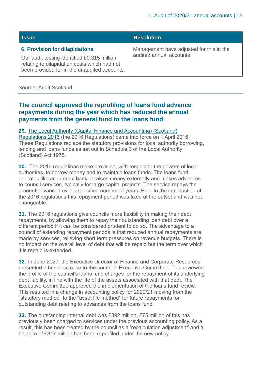| <b>Issue</b>                                                                                                                                                                         | <b>Resolution</b>                                                    |
|--------------------------------------------------------------------------------------------------------------------------------------------------------------------------------------|----------------------------------------------------------------------|
| <b>6. Provision for dilapidations</b><br>Our audit testing identified £0.315 million<br>relating to dilapidation costs which had not<br>been provided for in the unaudited accounts. | Management have adjusted for this in the<br>audited annual accounts. |

#### Source: Audit Scotland

#### <span id="page-12-0"></span>**The council approved the reprofiling of loans fund advance repayments during the year which has reduced the annual payments from the general fund to the loans fund**

#### **29.** [The Local Authority \(Capital Finance and Accounting\) \(Scotland\)](https://www.legislation.gov.uk/sdsi/2016/9780111030950)

[Regulations 2016](https://www.legislation.gov.uk/sdsi/2016/9780111030950) (the 2016 Regulations) came into force on 1 April 2016. These Regulations replace the statutory provisions for local authority borrowing, lending and loans funds as set out in Schedule 3 of the Local Authority (Scotland) Act 1975.

**30.** The 2016 regulations make provision, with respect to the powers of local authorities, to borrow money and to maintain loans funds. The loans fund operates like an internal bank: it raises money externally and makes advances to council services, typically for large capital projects. The service repays the amount advanced over a specified number of years. Prior to the introduction of the 2016 regulations this repayment period was fixed at the outset and was not changeable.

**31.** The 2016 regulations give councils more flexibility in making their debt repayments, by allowing them to repay their outstanding loan debt over a different period if it can be considered prudent to do so. The advantage to a council of extending repayment periods is that reduced annual repayments are made by services, relieving short term pressures on revenue budgets. There is no impact on the overall level of debt that will be repaid but the term over which it is repaid is extended.

**32.** In June 2020, the Executive Director of Finance and Corporate Resources presented a business case to the council's Executive Committee. This reviewed the profile of the council's loans fund charges for the repayment of its underlying debt liability, in line with the life of the assets associated with that debt. The Executive Committee approved the implementation of the loans fund review. This resulted in a change in accounting policy for 2020/21 moving from the "statutory method" to the "asset life method" for future repayments for outstanding debt relating to advances from the loans fund.

**33.** The outstanding internal debt was £892 million, £75 million of this has previously been charged to services under the previous accounting policy. As a result, this has been treated by the council as a 'recalculation adjustment' and a balance of £817 million has been reprofiled under the new policy.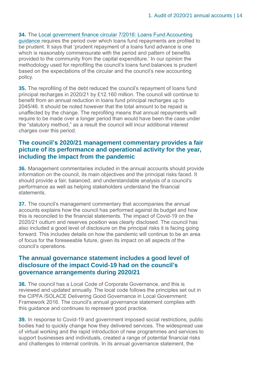#### **34.** The [Local government finance circular 7/2016: Loans Fund Accounting](https://www.gov.scot/publications/local-government-finance-circular-72016-loans-fund-accounting-guidance/)

[guidance](https://www.gov.scot/publications/local-government-finance-circular-72016-loans-fund-accounting-guidance/) requires the period over which loans fund repayments are profiled to be prudent. It says that 'prudent repayment of a loans fund advance is one which is reasonably commensurate with the period and pattern of benefits provided to the community from the capital expenditure.' In our opinion the methodology used for reprofiling the council's loans fund balances is prudent based on the expectations of the circular and the council's new accounting policy.

**35.** The reprofiling of the debt reduced the council's repayment of loans fund principal recharges in 2020/21 by £12.160 million. The council will continue to benefit from an annual reduction in loans fund principal recharges up to 2045/46. It should be noted however that the total amount to be repaid is unaffected by the change. The reprofiling means that annual repayments will require to be made over a longer period than would have been the case under the "statutory method," as a result the council will incur additional interest charges over this period.

#### **The council's 2020/21 management commentary provides a fair picture of its performance and operational activity for the year, including the impact from the pandemic**

**36.** Management commentaries included in the annual accounts should provide information on the council, its main objectives and the principal risks faced. It should provide a fair, balanced, and understandable analysis of a council's performance as well as helping stakeholders understand the financial **statements** 

**37.** The council's management commentary that accompanies the annual accounts explains how the council has performed against its budget and how this is reconciled to the financial statements. The impact of Covid-19 on the 2020/21 outturn and reserves position was clearly disclosed. The council has also included a good level of disclosure on the principal risks it is facing going forward. This includes details on how the pandemic will continue to be an area of focus for the foreseeable future, given its impact on all aspects of the council's operations.

#### **The annual governance statement includes a good level of disclosure of the impact Covid-19 had on the council's governance arrangements during 2020/21**

**38.** The council has a Local Code of Corporate Governance, and this is reviewed and updated annually. The local code follows the principles set out in the CIPFA /SOLACE Delivering Good Governance in Local Government: Framework 2016. The council's annual governance statement complies with this guidance and continues to represent good practice.

<span id="page-13-0"></span>**39.** In response to Covid-19 and government imposed social restrictions, public bodies had to quickly change how they delivered services. The widespread use of virtual working and the rapid introduction of new programmes and services to support businesses and individuals, created a range of potential financial risks and challenges to internal controls. In its annual governance statement, the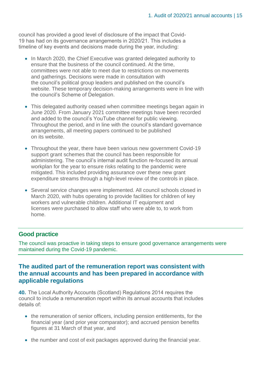council has provided a good level of disclosure of the impact that Covid-19 has had on its governance arrangements in 2020/21. This includes a timeline of key events and decisions made during the year, including:

- In March 2020, the Chief Executive was granted delegated authority to ensure that the business of the council continued. At the time, committees were not able to meet due to restrictions on movements and gatherings. Decisions were made in consultation with the council's political group leaders and published on the council's website. These temporary decision-making arrangements were in line with the council's Scheme of Delegation.
- This delegated authority ceased when committee meetings began again in June 2020. From January 2021 committee meetings have been recorded and added to the council's YouTube channel for public viewing. Throughout the period, and in line with the council's standard governance arrangements, all meeting papers continued to be published on its website.
- Throughout the year, there have been various new government Covid-19 support grant schemes that the council has been responsible for administering. The council's internal audit function re-focused its annual workplan for the year to ensure risks relating to the pandemic were mitigated. This included providing assurance over these new grant expenditure streams through a high-level review of the controls in place.
- Several service changes were implemented. All council schools closed in March 2020, with hubs operating to provide facilities for children of key workers and vulnerable children. Additional IT equipment and licenses were purchased to allow staff who were able to, to work from home.

#### **Good practice**

The council was proactive in taking steps to ensure good governance arrangements were maintained during the Covid-19 pandemic.

#### **The audited part of the remuneration report was consistent with the annual accounts and has been prepared in accordance with applicable regulations**

**40.** The Local Authority Accounts (Scotland) Regulations 2014 requires the council to include a remuneration report within its annual accounts that includes details of:

- the remuneration of senior officers, including pension entitlements, for the financial year (and prior year comparator); and accrued pension benefits figures at 31 March of that year, and
- the number and cost of exit packages approved during the financial year.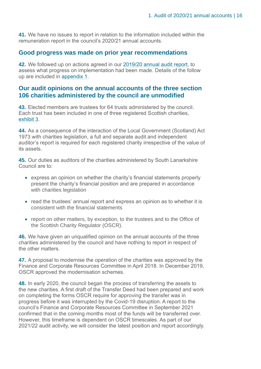**41.** We have no issues to report in relation to the information included within the remuneration report in the council's 2020/21 annual accounts.

#### **Good progress was made on prior year recommendations**

**42.** We followed up on actions agreed in our [2019/20 annual audit report,](https://www.audit-scotland.gov.uk/uploads/docs/report/2020/aar_1920_south_lanarkshire.pdf) to assess what progress on implementation had been made. Details of the follow up are included in [appendix 1.](#page-44-0)

#### **Our audit opinions on the annual accounts of the three section 106 charities administered by the council are unmodified**

**43.** Elected members are trustees for 64 trusts administered by the council. Each trust has been included in one of three registered Scottish charities, [exhibit 3.](#page-16-0)

**44.** As a consequence of the interaction of the Local Government (Scotland) Act 1973 with charities legislation, a full and separate audit and independent auditor's report is required for each registered charity irrespective of the value of its assets.

**45.** Our duties as auditors of the charities administered by South Lanarkshire Council are to:

- express an opinion on whether the charity's financial statements properly present the charity's financial position and are prepared in accordance with charities legislation
- read the trustees' annual report and express an opinion as to whether it is consistent with the financial statements
- report on other matters, by exception, to the trustees and to the Office of the Scottish Charity Regulator (OSCR).

**46.** We have given an unqualified opinion on the annual accounts of the three charities administered by the council and have nothing to report in respect of the other matters.

**47.** A proposal to modernise the operation of the charities was approved by the Finance and Corporate Resources Committee in April 2018. In December 2019, OSCR approved the modernisation schemes.

**48.** In early 2020, the council began the process of transferring the assets to the new charities. A first draft of the Transfer Deed had been prepared and work on completing the forms OSCR require for approving the transfer was in progress before it was interrupted by the Covid-19 disruption. A report to the council's Finance and Corporate Resources Committee in September 2021 confirmed that in the coming months most of the funds will be transferred over. However, this timeframe is dependent on OSCR timescales. As part of our 2021/22 audit activity, we will consider the latest position and report accordingly.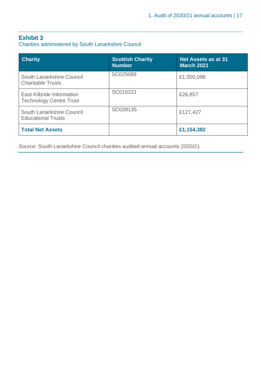#### <span id="page-16-0"></span>**Exhibit 3**

Charities administered by South Lanarkshire Council

| <b>Charity</b>                                                     | <b>Scottish Charity</b><br><b>Number</b> | Net Assets as at 31<br><b>March 2021</b> |
|--------------------------------------------------------------------|------------------------------------------|------------------------------------------|
| South Lanarkshire Council<br><b>Charitable Trusts</b>              | SC025089                                 | £1,000,098                               |
| <b>East Kilbride Information</b><br><b>Technology Centre Trust</b> | SC015221                                 | £26,857                                  |
| South Lanarkshire Council<br><b>Educational Trusts</b>             | SC028135                                 | £127,427                                 |
| <b>Total Net Assets</b>                                            |                                          | £1,154,382                               |

Source: South Lanarkshire Council charities audited annual accounts 2020/21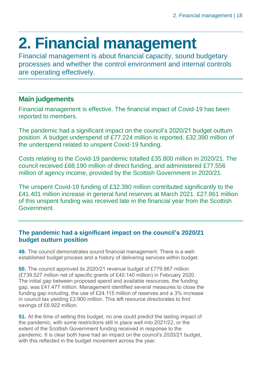# <span id="page-17-0"></span>**2. Financial management**

Financial management is about financial capacity, sound budgetary processes and whether the control environment and internal controls are operating effectively.

#### **Main judgements**

Financial management is effective. The financial impact of Covid-19 has been reported to members.

The pandemic had a significant impact on the council's 2020/21 budget outturn position. A budget underspend of £77.224 million is reported. £32.390 million of the underspend related to unspent Covid-19 funding.

Costs relating to the Covid-19 pandemic totalled £35.800 million in 2020/21. The council received £68.190 million of direct funding, and administered £77.556 million of agency income, provided by the Scottish Government in 2020/21.

The unspent Covid-19 funding of £32.390 million contributed significantly to the £41.401 million increase in general fund reserves at March 2021. £27.861 million of this unspent funding was received late in the financial year from the Scottish Government.

#### **The pandemic had a significant impact on the council's 2020/21 budget outturn position**

**49.** The council demonstrates sound financial management. There is a wellestablished budget process and a history of delivering services within budget.

**50.** The council approved its 2020/21 revenue budget of £779.667 million (£739.527 million net of specific grants of £40.140 million) in February 2020. The initial gap between proposed spend and available resources, the funding gap, was £41.477 million. Management identified several measures to close the funding gap including, the use of £24.115 million of reserves and a 3% increase in council tax yielding £3.900 million. This left resource directorates to find savings of £6.922 million.

**51.** At the time of setting this budget, no one could predict the lasting impact of the pandemic, with some restrictions still in place well into 2021/22, or the extent of the Scottish Government funding received in response to the pandemic. It is clear both have had an impact on the council's 2020/21 budget, with this reflected in the budget movement across the year.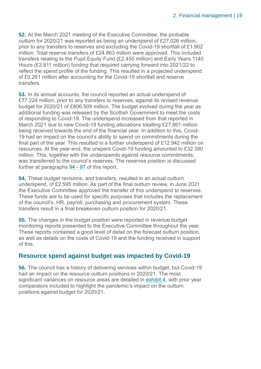**52.** At the March 2021 meeting of the Executive Committee, the probable outturn for 2020/21 was reported as being an underspend of £27.026 million, prior to any transfers to reserves and excluding the Covid-19 shortfall of £1.902 million. Total reserve transfers of £24.863 million were approved. This included transfers relating to the Pupil Equity Fund (£2.450 million) and Early Years 1140 Hours (£3.811 million) funding that required carrying forward into 2021/22 to reflect the spend profile of the funding. This resulted in a projected underspend of £0.261 million after accounting for the Covid-19 shortfall and reserve transfers.

**53.** In its annual accounts, the council reported an actual underspend of £77.224 million, prior to any transfers to reserves, against its revised revenue budget for 2020/21 of £806.509 million. The budget evolved during the year as additional funding was released by the Scottish Government to meet the costs of responding to Covid-19. The underspend increased from that reported in March 2021 due to new Covid-19 funding allocations totalling £27.861 million being received towards the end of the financial year. In addition to this, Covid-19 had an impact on the council's ability to spend on commitments during the final part of the year. This resulted in a further underspend of £12.942 million on resources. At the year-end, the unspent Covid-19 funding amounted to £32.390 million. This, together with the underspends against resource commitments, was transferred to the council's reserves. The reserves position is discussed further at paragraphs [94](#page-26-0) - 97 of this report.

**54.** These budget revisions, and transfers, resulted in an actual outturn underspend, of £2.595 million. As part of the final outturn review, in June 2021 the Executive Committee approved the transfer of this underspend to reserves. These funds are to be used for specific purposes that includes the replacement of the council's, HR, payroll, purchasing and procurement system. These transfers result in a final breakeven outturn position for 2020/21.

**55.** The changes in the budget position were reported in revenue budget monitoring reports presented to the Executive Committee throughout the year. These reports contained a good level of detail on the forecast outturn position, as well as details on the costs of Covid-19 and the funding received in support of this.

#### **Resource spend against budget was impacted by Covid-19**

**56.** The council has a history of delivering services within budget, but Covid-19 had an impact on the resource outturn positions in 2020/21. The most significant variances on resource areas are detailed in [exhibit 4,](#page-19-0) with prior year comparators included to highlight the pandemic's impact on the outturn positions against budget for 2020/21.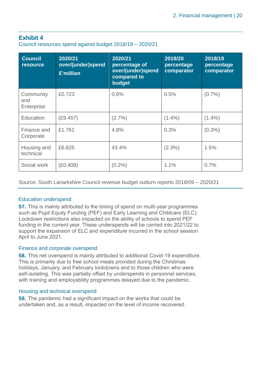#### <span id="page-19-0"></span>**Exhibit 4**

Council resources spend against budget 2018/19 – 2020/21

| <b>Council</b><br><b>resource</b> | 2020/21<br>over/(under)spend<br>£'million | 2020/21<br>percentage of<br>over/(under)spend<br>compared to<br>budget | 2019/20<br>percentage<br>comparator | 2018/19<br>percentage<br>comparator |
|-----------------------------------|-------------------------------------------|------------------------------------------------------------------------|-------------------------------------|-------------------------------------|
| Community<br>and<br>Enterprise    | £0.723                                    | 0.6%                                                                   | 0.5%                                | $(0.7\%)$                           |
| Education                         | (E9.457)                                  | $(2.7\%)$                                                              | $(1.4\%)$                           | $(1.4\%)$                           |
| Finance and<br>Corporate          | £1.761                                    | 4.8%                                                                   | 0.3%                                | $(0.3\%)$                           |
| Housing and<br>technical          | £6,825                                    | 43.4%                                                                  | $(2.3\%)$                           | 1.5%                                |
| Social work                       | (E0.408)                                  | $(0.2\%)$                                                              | 1.1%                                | 0.7%                                |

Source: South Lanarkshire Council revenue budget outturn reports 2018/09 – 2020/21

#### Education underspend

**57.** This is mainly attributed to the timing of spend on multi-year programmes such as Pupil Equity Funding (PEF) and Early Learning and Childcare (ELC). Lockdown restrictions also impacted on the ability of schools to spend PEF funding in the current year. These underspends will be carried into 2021/22 to support the expansion of ELC and expenditure incurred in the school session April to June 2021.

#### Finance and corporate overspend

**58.** This net overspend is mainly attributed to additional Covid-19 expenditure. This is primarily due to free school meals provided during the Christmas holidays, January, and February lockdowns and to those children who were self-isolating. This was partially offset by underspends in personnel services, with training and employability programmes delayed due to the pandemic.

#### Housing and technical overspend

**59.** The pandemic had a significant impact on the works that could be undertaken and, as a result, impacted on the level of income recovered.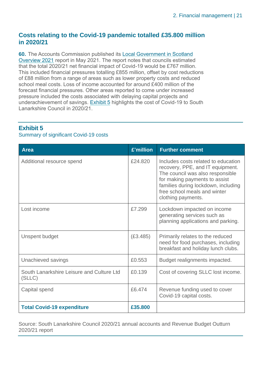#### **Costs relating to the Covid-19 pandemic totalled £35.800 million in 2020/21**

**60.** The Accounts Commission published its [Local Government in Scotland](https://www.audit-scotland.gov.uk/uploads/docs/report/2021/nr_210527_local_government_overview.pdf)  [Overview 2021](https://www.audit-scotland.gov.uk/uploads/docs/report/2021/nr_210527_local_government_overview.pdf) report in May 2021. The report notes that councils estimated that the total 2020/21 net financial impact of Covid-19 would be £767 million. This included financial pressures totalling £855 million, offset by cost reductions of £88 million from a range of areas such as lower property costs and reduced school meal costs. Loss of income accounted for around £400 million of the forecast financial pressures. Other areas reported to come under increased pressure included the costs associated with delaying capital projects and underachievement of savings. [Exhibit 5](#page-20-0) highlights the cost of Covid-19 to South Lanarkshire Council in 2020/21.

#### <span id="page-20-0"></span>**Exhibit 5**

#### Summary of significant Covid-19 costs

| Area                                                | £'million | <b>Further comment</b>                                                                                                                                                                                                                    |
|-----------------------------------------------------|-----------|-------------------------------------------------------------------------------------------------------------------------------------------------------------------------------------------------------------------------------------------|
| Additional resource spend                           | £24.820   | Includes costs related to education<br>recovery, PPE, and IT equipment.<br>The council was also responsible<br>for making payments to assist<br>families during lockdown, including<br>free school meals and winter<br>clothing payments. |
| Lost income                                         | £7.299    | Lockdown impacted on income<br>generating services such as<br>planning applications and parking.                                                                                                                                          |
| Unspent budget                                      | (E3.485)  | Primarily relates to the reduced<br>need for food purchases, including<br>breakfast and holiday lunch clubs.                                                                                                                              |
| Unachieved savings                                  | £0.553    | Budget realignments impacted.                                                                                                                                                                                                             |
| South Lanarkshire Leisure and Culture Ltd<br>(SLLC) | £0.139    | Cost of covering SLLC lost income.                                                                                                                                                                                                        |
| Capital spend                                       | £6.474    | Revenue funding used to cover<br>Covid-19 capital costs.                                                                                                                                                                                  |
| <b>Total Covid-19 expenditure</b>                   | £35,800   |                                                                                                                                                                                                                                           |

Source: South Lanarkshire Council 2020/21 annual accounts and Revenue Budget Outturn 2020/21 report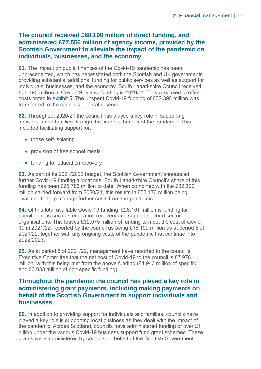#### **The council received £68.190 million of direct funding, and administered £77.556 million of agency income, provided by the Scottish Government to alleviate the impact of the pandemic on individuals, businesses, and the economy**

**61.** The impact on public finances of the Covid-19 pandemic has been unprecedented, which has necessitated both the Scottish and UK governments providing substantial additional funding for public services as well as support for individuals, businesses, and the economy. South Lanarkshire Council received £68.190 million in Covid-19 related funding in 2020/21. This was used to offset costs noted in [exhibit 5.](#page-20-0) The unspent Covid-19 funding of £32.390 million was transferred to the council's general reserve.

**62.** Throughout 2020/21 the council has played a key role in supporting individuals and families through the financial burden of the pandemic. This included facilitating support for:

- those self-isolating
- provision of free school meals
- funding for education recovery

**63.** As part of its 2021/2022 budget, the Scottish Government announced further Covid-19 funding allocations. South Lanarkshire Council's share of this funding has been £25.786 million to date. When combined with the £32.390 million carried forward from 2020/21, this results in £58.176 million being available to help manage further costs from the pandemic.

**64.** Of this total available Covid-19 funding, £26.101 million is funding for specific areas such as education recovery and support for third sector organisations. This leaves £32.075 million of funding to meet the cost of Covid-19 in 2021/22, reported by the council as being £18.199 million as at period 5 of 2021/22, together with any ongoing costs of the pandemic that continue into 2022/2023.

**65.** As at period 5 of 2021/22, management have reported to the council's Executive Committee that the net cost of Covid-19 to the council is £7.976 million, with this being met from the above funding (£4.943 million of specific and £3.033 million of non-specific funding).

#### **Throughout the pandemic the council has played a key role in administering grant payments, including making payments on behalf of the Scottish Government to support individuals and businesses**

**66.** In addition to providing support for individuals and families, councils have played a key role is supporting local business as they dealt with the impact of the pandemic. Across Scotland, councils have administered funding of over £1 billion under the various Covid-19 business support fund grant schemes. These grants were administered by councils on behalf of the Scottish Government.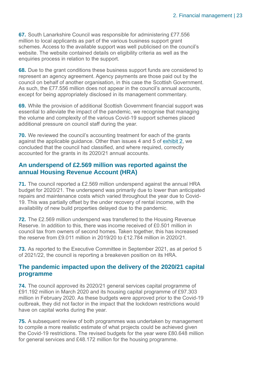**67.** South Lanarkshire Council was responsible for administering £77.556 million to local applicants as part of the various business support grant schemes. Access to the available support was well publicised on the council's website. The website contained details on eligibility criteria as well as the enquiries process in relation to the support.

**68.** Due to the grant conditions these business support funds are considered to represent an agency agreement. Agency payments are those paid out by the council on behalf of another organisation, in this case the Scottish Government. As such, the £77.556 million does not appear in the council's annual accounts, except for being appropriately disclosed in its management commentary.

**69.** While the provision of additional Scottish Government financial support was essential to alleviate the impact of the pandemic, we recognise that managing the volume and complexity of the various Covid-19 support schemes placed additional pressure on council staff during the year.

**70.** We reviewed the council's accounting treatment for each of the grants against the applicable guidance. Other than issues 4 and 5 of [exhibit 2,](#page-9-0) we concluded that the council had classified, and where required, correctly accounted for the grants in its 2020/21 annual accounts.

#### **An underspend of £2.569 million was reported against the annual Housing Revenue Account (HRA)**

**71.** The council reported a £2.569 million underspend against the annual HRA budget for 2020/21. The underspend was primarily due to lower than anticipated repairs and maintenance costs which varied throughout the year due to Covid-19. This was partially offset by the under recovery of rental income, with the availability of new build properties delayed due to the pandemic.

**72.** The £2.569 million underspend was transferred to the Housing Revenue Reserve. In addition to this, there was income received of £0.501 million in council tax from owners of second homes. Taken together, this has increased the reserve from £9.011 million in 2019/20 to £12.784 million in 2020/21.

**73.** As reported to the Executive Committee in September 2021, as at period 5 of 2021/22, the council is reporting a breakeven position on its HRA.

#### **The pandemic impacted upon the delivery of the 2020/21 capital programme**

**74.** The council approved its 2020/21 general services capital programme of £91.192 million in March 2020 and its housing capital programme of £97.303 million in February 2020. As these budgets were approved prior to the Covid-19 outbreak, they did not factor in the impact that the lockdown restrictions would have on capital works during the year.

**75.** A subsequent review of both programmes was undertaken by management to compile a more realistic estimate of what projects could be achieved given the Covid-19 restrictions. The revised budgets for the year were £80.648 million for general services and £48.172 million for the housing programme.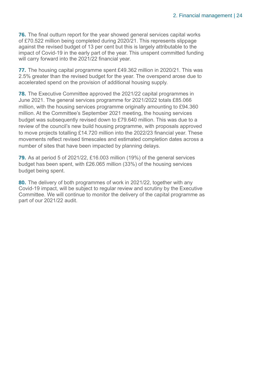**76.** The final outturn report for the year showed general services capital works of £70.522 million being completed during 2020/21. This represents slippage against the revised budget of 13 per cent but this is largely attributable to the impact of Covid-19 in the early part of the year. This unspent committed funding will carry forward into the 2021/22 financial year.

**77.** The housing capital programme spent £49.362 million in 2020/21. This was 2.5% greater than the revised budget for the year. The overspend arose due to accelerated spend on the provision of additional housing supply.

**78.** The Executive Committee approved the 2021/22 capital programmes in June 2021. The general services programme for 2021/2022 totals £85.066 million, with the housing services programme originally amounting to £94.360 million. At the Committee's September 2021 meeting, the housing services budget was subsequently revised down to £79.640 million. This was due to a review of the council's new build housing programme, with proposals approved to move projects totalling £14.720 million into the 2022/23 financial year. These movements reflect revised timescales and estimated completion dates across a number of sites that have been impacted by planning delays.

**79.** As at period 5 of 2021/22, £16.003 million (19%) of the general services budget has been spent, with £26.065 million (33%) of the housing services budget being spent.

**80.** The delivery of both programmes of work in 2021/22, together with any Covid-19 impact, will be subject to regular review and scrutiny by the Executive Committee. We will continue to monitor the delivery of the capital programme as part of our 2021/22 audit.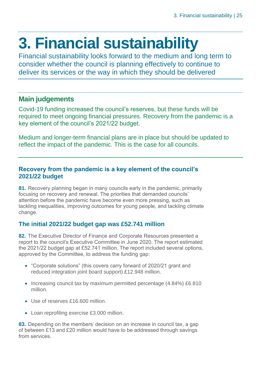# <span id="page-24-0"></span>**3. Financial sustainability**

Financial sustainability looks forward to the medium and long term to consider whether the council is planning effectively to continue to deliver its services or the way in which they should be delivered

#### **Main judgements**

Covid-19 funding increased the council's reserves, but these funds will be required to meet ongoing financial pressures. Recovery from the pandemic is a key element of the council's 2021/22 budget.

Medium and longer-term financial plans are in place but should be updated to reflect the impact of the pandemic. This is the case for all councils.

#### **Recovery from the pandemic is a key element of the council's 2021/22 budget**

**81.** Recovery planning began in many councils early in the pandemic, primarily focusing on recovery and renewal. The priorities that demanded councils' attention before the pandemic have become even more pressing, such as tackling inequalities, improving outcomes for young people, and tackling climate change.

#### **The initial 2021/22 budget gap was £52.741 million**

**82.** The Executive Director of Finance and Corporate Resources presented a report to the council's Executive Committee in June 2020. The report estimated the 2021/22 budget gap at £52.741 million. The report included several options, approved by the Committee, to address the funding gap:

- "Corporate solutions" (this covers carry forward of 2020/21 grant and reduced integration joint board support) £12.948 million.
- Increasing council tax by maximum permitted percentage (4.84%) £6.810 million.
- Use of reserves £16,600 million.
- Loan reprofiling exercise £3.000 million.

**83.** Depending on the members' decision on an increase in council tax, a gap of between £13 and £20 million would have to be addressed through savings from services.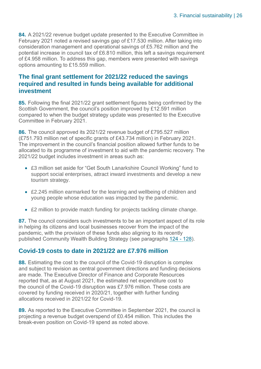**84.** A 2021/22 revenue budget update presented to the Executive Committee in February 2021 noted a revised savings gap of £17.530 million. After taking into consideration management and operational savings of £5.762 million and the potential increase in council tax of £6.810 million, this left a savings requirement of £4.958 million. To address this gap, members were presented with savings options amounting to £15.559 million.

#### **The final grant settlement for 2021/22 reduced the savings required and resulted in funds being available for additional investment**

**85.** Following the final 2021/22 grant settlement figures being confirmed by the Scottish Government, the council's position improved by £12.591 million compared to when the budget strategy update was presented to the Executive Committee in February 2021.

**86.** The council approved its 2021/22 revenue budget of £795.527 million (£751.793 million net of specific grants of £43.734 million) in February 2021. The improvement in the council's financial position allowed further funds to be allocated to its programme of investment to aid with the pandemic recovery. The 2021/22 budget includes investment in areas such as:

- £3 million set aside for "Get South Lanarkshire Council Working" fund to support social enterprises, attract inward investments and develop a new tourism strategy.
- £2.245 million earmarked for the learning and wellbeing of children and young people whose education was impacted by the pandemic.
- £2 million to provide match funding for projects tackling climate change.

**87.** The council considers such investments to be an important aspect of its role in helping its citizens and local businesses recover from the impact of the pandemic, with the provision of these funds also aligning to its recently published Community Wealth Building Strategy (see paragraphs 124 - [128\)](#page-36-0).

#### **Covid-19 costs to date in 2021/22 are £7.976 million**

**88.** Estimating the cost to the council of the Covid-19 disruption is complex and subject to revision as central government directions and funding decisions are made. The Executive Director of Finance and Corporate Resources reported that, as at August 2021, the estimated net expenditure cost to the council of the Covid-19 disruption was £7.976 million. These costs are covered by funding received in 2020/21, together with further funding allocations received in 2021/22 for Covid-19.

**89.** As reported to the Executive Committee in September 2021, the council is projecting a revenue budget overspend of £0.454 million. This includes the break-even position on Covid-19 spend as noted above.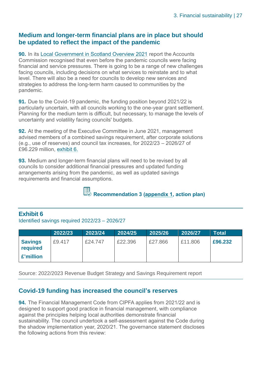#### **Medium and longer-term financial plans are in place but should be updated to reflect the impact of the pandemic**

**90.** In its [Local Government in Scotland Overview 2021](https://www.audit-scotland.gov.uk/uploads/docs/report/2021/nr_210527_local_government_overview.pdf) report the Accounts Commission recognised that even before the pandemic councils were facing financial and service pressures. There is going to be a range of new challenges facing councils, including decisions on what services to reinstate and to what level. There will also be a need for councils to develop new services and strategies to address the long-term harm caused to communities by the pandemic.

**91.** Due to the Covid-19 pandemic, the funding position beyond 2021/22 is particularly uncertain, with all councils working to the one-year grant settlement. Planning for the medium term is difficult, but necessary, to manage the levels of uncertainty and volatility facing councils' budgets.

**92.** At the meeting of the Executive Committee in June 2021, management advised members of a combined savings requirement, after corporate solutions (e.g., use of reserves) and council tax increases, for 2022/23 – 2026/27 of £96.229 million, [exhibit 6.](#page-26-1)

<span id="page-26-2"></span>**93.** Medium and longer-term financial plans will need to be revised by all councils to consider additional financial pressures and updated funding arrangements arising from the pandemic, as well as updated savings requirements and financial assumptions.

**Recommendation 3 [\(appendix 1,](#page-44-0) action plan)** 

#### <span id="page-26-1"></span>**Exhibit 6**

Identified savings required 2022/23 – 2026/27

|                                         | 2022/23 | 2023/24 | 2024/25 | 2025/26 | 2026/27 | <b>Total</b> |
|-----------------------------------------|---------|---------|---------|---------|---------|--------------|
| <b>Savings</b><br>required<br>£'million | £9.417  | £24.747 | £22,396 | £27,866 | £11,806 | £96,232      |

Source: 2022/2023 Revenue Budget Strategy and Savings Requirement report

#### <span id="page-26-0"></span>**Covid-19 funding has increased the council's reserves**

**94.** The Financial Management Code from CIPFA applies from 2021/22 and is designed to support good practice in financial management, with compliance against the principles helping local authorities demonstrate financial sustainability. The council undertook a self-assessment against the Code during the shadow implementation year, 2020/21. The governance statement discloses the following actions from this review: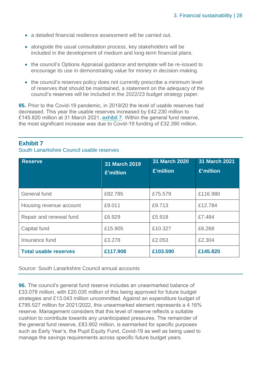- a detailed financial resilience assessment will be carried out.
- alongside the usual consultation process, key stakeholders will be included in the development of medium and long-term financial plans.
- the council's Options Appraisal guidance and template will be re-issued to encourage its use in demonstrating value for money in decision-making.
- the council's reserves policy does not currently prescribe a minimum level of reserves that should be maintained, a statement on the adequacy of the council's reserves will be included in the 2022/23 budget strategy paper.

**95.** Prior to the Covid-19 pandemic, in 2019/20 the level of usable reserves had decreased. This year the usable reserves increased by £42.230 million to £145.820 million at 31 March 2021, [exhibit 7.](#page-27-0) Within the general fund reserve, the most significant increase was due to Covid-19 funding of £32.390 million.

#### <span id="page-27-0"></span>**Exhibit 7**

South Lanarkshire Council usable reserves

| <b>Reserve</b>               | 31 March 2019<br>£'million | 31 March 2020<br>£'million | 31 March 2021<br>£'million |
|------------------------------|----------------------------|----------------------------|----------------------------|
| General fund                 | £82.785                    | £75,579                    | £116.980                   |
| Housing revenue account      | £9.011                     | £9.713                     | £12.784                    |
| Repair and renewal fund      | £6,929                     | £5,918                     | £7.484                     |
| Capital fund                 | £15.905                    | £10.327                    | £6.268                     |
| Insurance fund               | £3,278                     | £2.053                     | £2,304                     |
| <b>Total usable reserves</b> | £117.908                   | £103.590                   | £145.820                   |

Source: South Lanarkshire Council annual accounts

**96.** The council's general fund reserve includes an unearmarked balance of £33.078 million, with £20.035 million of this being approved for future budget strategies and £13.043 million uncommitted. Against an expenditure budget of £795.527 million for 2021/2022, this unearmarked element represents a 4.16% reserve. Management considers that this level of reserve reflects a suitable cushion to contribute towards any unanticipated pressures. The remainder of the general fund reserve, £83.902 million, is earmarked for specific purposes such as Early Year's, the Pupil Equity Fund, Covid-19 as well as being used to manage the savings requirements across specific future budget years.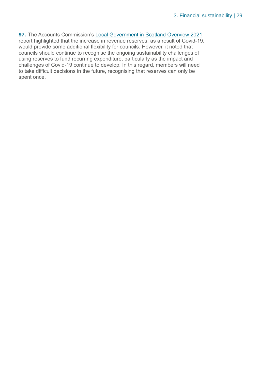**97.** The Accounts Commission's [Local Government in Scotland Overview 2021](https://www.audit-scotland.gov.uk/uploads/docs/report/2021/nr_210527_local_government_overview.pdf) report highlighted that the increase in revenue reserves, as a result of Covid-19, would provide some additional flexibility for councils. However, it noted that councils should continue to recognise the ongoing sustainability challenges of using reserves to fund recurring expenditure, particularly as the impact and challenges of Covid-19 continue to develop. In this regard, members will need to take difficult decisions in the future, recognising that reserves can only be spent once.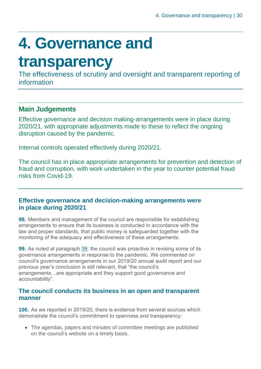# <span id="page-29-0"></span>**4. Governance and**

### **transparency**

The effectiveness of scrutiny and oversight and transparent reporting of information

#### **Main Judgements**

Effective governance and decision making-arrangements were in place during 2020/21, with appropriate adjustments made to these to reflect the ongoing disruption caused by the pandemic.

Internal controls operated effectively during 2020/21.

The council has in place appropriate arrangements for prevention and detection of fraud and corruption, with work undertaken in the year to counter potential fraud risks from Covid-19.

#### **Effective governance and decision-making arrangements were in place during 2020/21**

**98.** Members and management of the council are responsible for establishing arrangements to ensure that its business is conducted in accordance with the law and proper standards, that public money is safeguarded together with the monitoring of the adequacy and effectiveness of these arrangements.

**99.** As noted at paragraph [39,](#page-13-0) the council was proactive in revising some of its governance arrangements in response to the pandemic. We commented on council's governance arrangements in our 2019/20 annual audit report and our previous year's conclusion is still relevant, that "the council's arrangements…are appropriate and they support good governance and accountability".

#### **The council conducts its business in an open and transparent manner**

**100.** As we reported in 2019/20, there is evidence from several sources which demonstrate the council's commitment to openness and transparency:

• The agendas, papers and minutes of committee meetings are published on the council's website on a timely basis.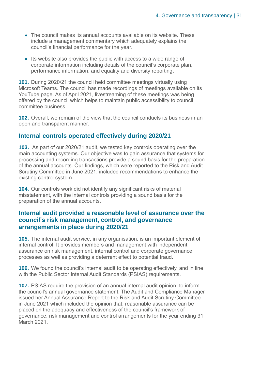- The council makes its annual accounts available on its website. These include a management commentary which adequately explains the council's financial performance for the year.
- Its website also provides the public with access to a wide range of corporate information including details of the council's corporate plan, performance information, and equality and diversity reporting.

**101.** During 2020/21 the council held committee meetings virtually using Microsoft Teams. The council has made recordings of meetings available on its YouTube page. As of April 2021, livestreaming of these meetings was being offered by the council which helps to maintain public accessibility to council committee business.

**102.** Overall, we remain of the view that the council conducts its business in an open and transparent manner.

#### **Internal controls operated effectively during 2020/21**

**103.** As part of our 2020/21 audit, we tested key controls operating over the main accounting systems. Our objective was to gain assurance that systems for processing and recording transactions provide a sound basis for the preparation of the annual accounts. Our findings, which were reported to the Risk and Audit Scrutiny Committee in June 2021, included recommendations to enhance the existing control system.

**104.** Our controls work did not identify any significant risks of material misstatement, with the internal controls providing a sound basis for the preparation of the annual accounts.

#### **Internal audit provided a reasonable level of assurance over the council's risk management, control, and governance arrangements in place during 2020/21**

**105.** The internal audit service, in any organisation, is an important element of internal control. It provides members and management with independent assurance on risk management, internal control and corporate governance processes as well as providing a deterrent effect to potential fraud.

**106.** We found the council's internal audit to be operating effectively, and in line with the Public Sector Internal Audit Standards (PSIAS) requirements.

**107.** PSIAS require the provision of an annual internal audit opinion, to inform the council's annual governance statement. The Audit and Compliance Manager issued her Annual Assurance Report to the Risk and Audit Scrutiny Committee in June 2021 which included the opinion that: reasonable assurance can be placed on the adequacy and effectiveness of the council's framework of governance, risk management and control arrangements for the year ending 31 March 2021.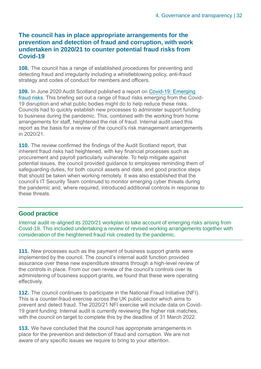#### **The council has in place appropriate arrangements for the prevention and detection of fraud and corruption, with work undertaken in 2020/21 to counter potential fraud risks from Covid-19**

**108.** The council has a range of established procedures for preventing and detecting fraud and irregularity including a whistleblowing policy, anti-fraud strategy and codes of conduct for members and officers.

**109.** In June 2020 Audit Scotland published a report on [Covid-19: Emerging](https://www.audit-scotland.gov.uk/uploads/docs/report/2020/briefing_200723_covid.pdf)  [fraud risks.](https://www.audit-scotland.gov.uk/uploads/docs/report/2020/briefing_200723_covid.pdf) This briefing set out a range of fraud risks emerging from the Covid-19 disruption and what public bodies might do to help reduce these risks. Councils had to quickly establish new processes to administer support funding to business during the pandemic. This, combined with the working from home arrangements for staff, heightened the risk of fraud. Internal audit used this report as the basis for a review of the council's risk management arrangements in 2020/21.

**110.** The review confirmed the findings of the Audit Scotland report, that inherent fraud risks had heightened, with key financial processes such as procurement and payroll particularly vulnerable. To help mitigate against potential issues, the council provided guidance to employees reminding them of safeguarding duties, for both council assets and data, and good practice steps that should be taken when working remotely. It was also established that the council's IT Security Team continued to monitor emerging cyber threats during the pandemic and, where required, introduced additional controls in response to these threats.

#### **Good practice**

Internal audit re-aligned its 2020/21 workplan to take account of emerging risks arising from Covid-19. This included undertaking a review of revised working arrangements together with consideration of the heightened fraud risk created by the pandemic.

**111.** New processes such as the payment of business support grants were implemented by the council. The council's internal audit function provided assurance over these new expenditure streams through a high-level review of the controls in place. From our own review of the council's controls over its administering of business support grants, we found that these were operating effectively.

**112.** The council continues to participate in the National Fraud Initiative (NFI). This is a counter-fraud exercise across the UK public sector which aims to prevent and detect fraud. The 2020/21 NFI exercise will include data on Covid-19 grant funding. Internal audit is currently reviewing the higher risk matches, with the council on target to complete this by the deadline of 31 March 2022.

**113.** We have concluded that the council has appropriate arrangements in place for the prevention and detection of fraud and corruption. We are not aware of any specific issues we require to bring to your attention.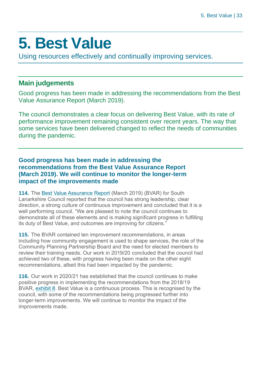### <span id="page-32-0"></span>**5. Best Value**

Using resources effectively and continually improving services.

#### **Main judgements**

Good progress has been made in addressing the recommendations from the Best Value Assurance Report (March 2019).

The council demonstrates a clear focus on delivering Best Value, with its rate of performance improvement remaining consistent over recent years. The way that some services have been delivered changed to reflect the needs of communities during the pandemic.

**Good progress has been made in addressing the recommendations from the Best Value Assurance Report (March 2019). We will continue to monitor the longer-term impact of the improvements made**

**114.** The [Best Value Assurance Report](https://www.audit-scotland.gov.uk/uploads/docs/report/2019/bv_190328_south_lanarkshire.pdf) (March 2019) (BVAR) for South Lanarkshire Council reported that the council has strong leadership, clear direction, a strong culture of continuous improvement and concluded that it is a well performing council. "We are pleased to note the council continues to demonstrate all of these elements and is making significant progress in fulfilling its duty of Best Value, and outcomes are improving for citizens."

**115.** The BVAR contained ten improvement recommendations, in areas including how community engagement is used to shape services, the role of the Community Planning Partnership Board and the need for elected members to review their training needs. Our work in 2019/20 concluded that the council had achieved two of these, with progress having been made on the other eight recommendations, albeit this had been impacted by the pandemic.

**116.** Our work in 2020/21 has established that the council continues to make positive progress in implementing the recommendations from the 2018/19 BVAR, [exhibit 8.](#page-33-0) Best Value is a continuous process. This is recognised by the council, with some of the recommendations being progressed further into longer-term improvements. We will continue to monitor the impact of the improvements made.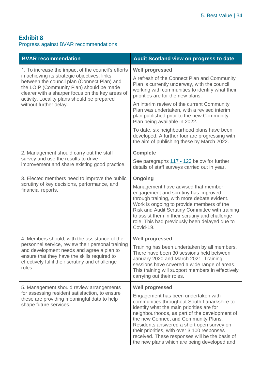#### <span id="page-33-0"></span>**Exhibit 8**

#### Progress against BVAR recommendations

| <b>BVAR recommendation</b>                                                                                                                                                                                                                 | <b>Audit Scotland view on progress to date</b>                                                                                                                                                                                                                                                                                                                                                                        |  |
|--------------------------------------------------------------------------------------------------------------------------------------------------------------------------------------------------------------------------------------------|-----------------------------------------------------------------------------------------------------------------------------------------------------------------------------------------------------------------------------------------------------------------------------------------------------------------------------------------------------------------------------------------------------------------------|--|
| 1. To increase the impact of the council's efforts                                                                                                                                                                                         | <b>Well progressed</b>                                                                                                                                                                                                                                                                                                                                                                                                |  |
| in achieving its strategic objectives, links<br>between the council plan (Connect Plan) and<br>the LOIP (Community Plan) should be made<br>clearer with a sharper focus on the key areas of<br>activity. Locality plans should be prepared | A refresh of the Connect Plan and Community<br>Plan is currently underway, with the council<br>working with communities to identify what their<br>priorities are for the new plans.                                                                                                                                                                                                                                   |  |
| without further delay.                                                                                                                                                                                                                     | An interim review of the current Community<br>Plan was undertaken, with a revised interim<br>plan published prior to the new Community<br>Plan being available in 2022.                                                                                                                                                                                                                                               |  |
|                                                                                                                                                                                                                                            | To date, six neighbourhood plans have been<br>developed. A further four are progressing with<br>the aim of publishing these by March 2022.                                                                                                                                                                                                                                                                            |  |
| 2. Management should carry out the staff                                                                                                                                                                                                   | <b>Complete</b>                                                                                                                                                                                                                                                                                                                                                                                                       |  |
| survey and use the results to drive<br>improvement and share existing good practice.                                                                                                                                                       | See paragraphs 117 - 123 below for further<br>details of staff surveys carried out in year.                                                                                                                                                                                                                                                                                                                           |  |
| 3. Elected members need to improve the public                                                                                                                                                                                              | <b>Ongoing</b>                                                                                                                                                                                                                                                                                                                                                                                                        |  |
| scrutiny of key decisions, performance, and<br>financial reports.                                                                                                                                                                          | Management have advised that member<br>engagement and scrutiny has improved<br>through training, with more debate evident.<br>Work is ongoing to provide members of the<br>Risk and Audit Scrutiny Committee with training<br>to assist them in their scrutiny and challenge<br>role. This had previously been delayed due to<br>Covid-19.                                                                            |  |
| 4. Members should, with the assistance of the                                                                                                                                                                                              | <b>Well progressed</b>                                                                                                                                                                                                                                                                                                                                                                                                |  |
| personnel service, review their personal training<br>and development needs and agree a plan to<br>ensure that they have the skills required to<br>effectively fulfil their scrutiny and challenge<br>roles.                                | Training has been undertaken by all members.<br>There have been 30 sessions held between<br>January 2020 and March 2021. Training<br>sessions have covered a wide range of areas.<br>This training will support members in effectively<br>carrying out their roles.                                                                                                                                                   |  |
| 5. Management should review arrangements                                                                                                                                                                                                   | <b>Well progressed</b>                                                                                                                                                                                                                                                                                                                                                                                                |  |
| for assessing resident satisfaction, to ensure<br>these are providing meaningful data to help<br>shape future services.                                                                                                                    | Engagement has been undertaken with<br>communities throughout South Lanarkshire to<br>identify what the main priorities are for<br>neighbourhoods, as part of the development of<br>the new Connect and Community Plans.<br>Residents answered a short open survey on<br>their priorities, with over 3,100 responses<br>received. These responses will be the basis of<br>the new plans which are being developed and |  |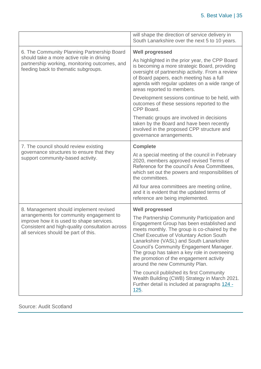|                                                                                                                                                                                  | will shape the direction of service delivery in<br>South Lanarkshire over the next 5 to 10 years.                                                                                                                                                                                                                                                                                                                         |
|----------------------------------------------------------------------------------------------------------------------------------------------------------------------------------|---------------------------------------------------------------------------------------------------------------------------------------------------------------------------------------------------------------------------------------------------------------------------------------------------------------------------------------------------------------------------------------------------------------------------|
| 6. The Community Planning Partnership Board                                                                                                                                      | <b>Well progressed</b>                                                                                                                                                                                                                                                                                                                                                                                                    |
| should take a more active role in driving<br>partnership working, monitoring outcomes, and<br>feeding back to thematic subgroups.                                                | As highlighted in the prior year, the CPP Board<br>is becoming a more strategic Board, providing<br>oversight of partnership activity. From a review<br>of Board papers, each meeting has a full<br>agenda with regular updates on a wide range of<br>areas reported to members.                                                                                                                                          |
|                                                                                                                                                                                  | Development sessions continue to be held, with<br>outcomes of these sessions reported to the<br>CPP Board.                                                                                                                                                                                                                                                                                                                |
|                                                                                                                                                                                  | Thematic groups are involved in decisions<br>taken by the Board and have been recently<br>involved in the proposed CPP structure and<br>governance arrangements.                                                                                                                                                                                                                                                          |
| 7. The council should review existing                                                                                                                                            | <b>Complete</b>                                                                                                                                                                                                                                                                                                                                                                                                           |
| governance structures to ensure that they<br>support community-based activity.                                                                                                   | At a special meeting of the council in February<br>2020, members approved revised Terms of<br>Reference for the council's Area Committees,<br>which set out the powers and responsibilities of<br>the committees.                                                                                                                                                                                                         |
|                                                                                                                                                                                  | All four area committees are meeting online,<br>and it is evident that the updated terms of<br>reference are being implemented.                                                                                                                                                                                                                                                                                           |
| 8. Management should implement revised                                                                                                                                           | <b>Well progressed</b>                                                                                                                                                                                                                                                                                                                                                                                                    |
| arrangements for community engagement to<br>improve how it is used to shape services.<br>Consistent and high-quality consultation across<br>all services should be part of this. | The Partnership Community Participation and<br>Engagement Group has been established and<br>meets monthly. The group is co-chaired by the<br><b>Chief Executive of Voluntary Action South</b><br>Lanarkshire (VASL) and South Lanarkshire<br><b>Council's Community Engagement Manager.</b><br>The group has taken a key role in overseeing<br>the promotion of the engagement activity<br>around the new Community Plan. |
|                                                                                                                                                                                  | The council published its first Community<br>Wealth Building (CWB) Strategy in March 2021.<br>Further detail is included at paragraphs 124 -<br>125.                                                                                                                                                                                                                                                                      |

Source: Audit Scotland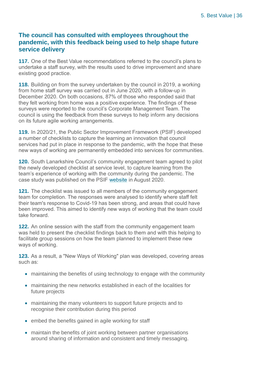#### <span id="page-35-0"></span>**The council has consulted with employees throughout the pandemic, with this feedback being used to help shape future service delivery**

**117.** One of the Best Value recommendations referred to the council's plans to undertake a staff survey, with the results used to drive improvement and share existing good practice.

**118.** Building on from the survey undertaken by the council in 2019, a working from home staff survey was carried out in June 2020, with a follow-up in December 2020. On both occasions, 87% of those who responded said that they felt working from home was a positive experience. The findings of these surveys were reported to the council's Corporate Management Team. The council is using the feedback from these surveys to help inform any decisions on its future agile working arrangements.

**119.** In 2020/21, the Public Sector Improvement Framework (PSIF) developed a number of checklists to capture the learning an innovation that council services had put in place in response to the pandemic, with the hope that these new ways of working are permanently embedded into services for communities.

**120.** South Lanarkshire Council's community engagement team agreed to pilot the newly developed checklist at service level, to capture learning from the team's experience of working with the community during the pandemic. The case study was published on the PSIF [website](https://www.improvementservice.org.uk/case-studies/south-lanarkshire-council/new-ways-of-working-in-response-to-covid-19) in August 2020.

**121.** The checklist was issued to all members of the community engagement team for completion. The responses were analysed to identify where staff felt their team's response to Covid-19 has been strong, and areas that could have been improved. This aimed to identify new ways of working that the team could take forward.

**122.** An online session with the staff from the community engagement team was held to present the checklist findings back to them and with this helping to facilitate group sessions on how the team planned to implement these new ways of working.

**123.** As a result, a "New Ways of Working" plan was developed, covering areas such as:

- maintaining the benefits of using technology to engage with the community
- maintaining the new networks established in each of the localities for future projects
- maintaining the many volunteers to support future projects and to recognise their contribution during this period
- embed the benefits gained in agile working for staff
- maintain the benefits of joint working between partner organisations around sharing of information and consistent and timely messaging.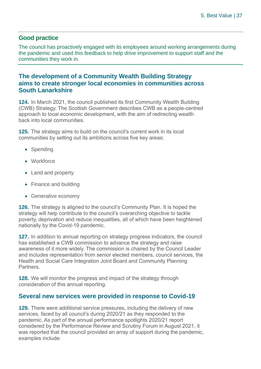#### **Good practice**

The council has proactively engaged with its employees around working arrangements during the pandemic and used this feedback to help drive improvement to support staff and the communities they work in.

#### <span id="page-36-0"></span>**The development of a Community Wealth Building Strategy aims to create stronger local economies in communities across South Lanarkshire**

**124.** In March 2021, the council published its first Community Wealth Building (CWB) Strategy. The Scottish Government describes CWB as a people-centred approach to local economic development, with the aim of redirecting wealth back into local communities.

**125.** The strategy aims to build on the council's current work in its local communities by setting out its ambitions across five key areas:

- Spending
- Workforce
- Land and property
- Finance and building
- Generative economy

**126.** The strategy is aligned to the council's Community Plan. It is hoped the strategy will help contribute to the council's overarching objective to tackle poverty, deprivation and reduce inequalities, all of which have been heightened nationally by the Covid-19 pandemic.

**127.** In addition to annual reporting on strategy progress indicators, the council has established a CWB commission to advance the strategy and raise awareness of it more widely. The commission is chaired by the Council Leader and includes representation from senior elected members, council services, the Health and Social Care Integration Joint Board and Community Planning Partners.

**128.** We will monitor the progress and impact of the strategy through consideration of this annual reporting.

#### **Several new services were provided in response to Covid-19**

**129.** There were additional service pressures, including the delivery of new services, faced by all council's during 2020/21 as they responded to the pandemic. As part of the annual performance spotlights 2020/21 report considered by the Performance Review and Scrutiny Forum in August 2021, it was reported that the council provided an array of support during the pandemic. examples include: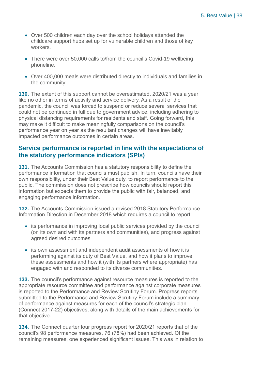- Over 500 children each day over the school holidays attended the childcare support hubs set up for vulnerable children and those of key workers.
- There were over 50,000 calls to/from the council's Covid-19 wellbeing phoneline.
- Over 400,000 meals were distributed directly to individuals and families in the community.

**130.** The extent of this support cannot be overestimated. 2020/21 was a year like no other in terms of activity and service delivery. As a result of the pandemic, the council was forced to suspend or reduce several services that could not be continued in full due to government advice, including adhering to physical distancing requirements for residents and staff. Going forward, this may make it difficult to make meaningfully comparisons on the council's performance year on year as the resultant changes will have inevitably impacted performance outcomes in certain areas.

#### **Service performance is reported in line with the expectations of the statutory performance indicators (SPIs)**

**131.** The Accounts Commission has a statutory responsibility to define the performance information that councils must publish. In turn, councils have their own responsibility, under their Best Value duty, to report performance to the public. The commission does not prescribe how councils should report this information but expects them to provide the public with fair, balanced, and engaging performance information.

**132.** The Accounts Commission issued a revised 2018 Statutory Performance Information Direction in December 2018 which requires a council to report:

- its performance in improving local public services provided by the council (on its own and with its partners and communities), and progress against agreed desired outcomes
- its own assessment and independent audit assessments of how it is performing against its duty of Best Value, and how it plans to improve these assessments and how it (with its partners where appropriate) has engaged with and responded to its diverse communities.

**133.** The council's performance against resource measures is reported to the appropriate resource committee and performance against corporate measures is reported to the Performance and Review Scrutiny Forum. Progress reports submitted to the Performance and Review Scrutiny Forum include a summary of performance against measures for each of the council's strategic plan (Connect 2017-22) objectives, along with details of the main achievements for that objective.

**134.** The Connect quarter four progress report for 2020/21 reports that of the council's 98 performance measures, 76 (78%) had been achieved. Of the remaining measures, one experienced significant issues. This was in relation to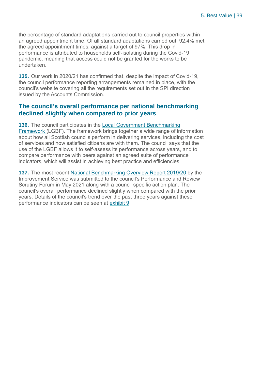the percentage of standard adaptations carried out to council properties within an agreed appointment time. Of all standard adaptations carried out, 92.4% met the agreed appointment times, against a target of 97%. This drop in performance is attributed to households self-isolating during the Covid-19 pandemic, meaning that access could not be granted for the works to be undertaken.

**135.** Our work in 2020/21 has confirmed that, despite the impact of Covid-19, the council performance reporting arrangements remained in place, with the council's website covering all the requirements set out in the SPI direction issued by the Accounts Commission.

#### **The council's overall performance per national benchmarking declined slightly when compared to prior years**

**136.** The council participates in the [Local Government Benchmarking](https://www.improvementservice.org.uk/products-and-services/performance-management-and-benchmarking/local-government-benchmarking-framework)  [Framework](https://www.improvementservice.org.uk/products-and-services/performance-management-and-benchmarking/local-government-benchmarking-framework) (LGBF). The framework brings together a wide range of information about how all Scottish councils perform in delivering services, including the cost of services and how satisfied citizens are with them. The council says that the use of the LGBF allows it to self-assess its performance across years, and to compare performance with peers against an agreed suite of performance indicators, which will assist in achieving best practice and efficiencies.

**137.** The most recent [National Benchmarking Overview Report 2019/20](https://www.improvementservice.org.uk/benchmarking/reports) by the Improvement Service was submitted to the council's Performance and Review Scrutiny Forum in May 2021 along with a council specific action plan. The council's overall performance declined slightly when compared with the prior years. Details of the council's trend over the past three years against these performance indicators can be seen at [exhibit 9.](#page-39-0)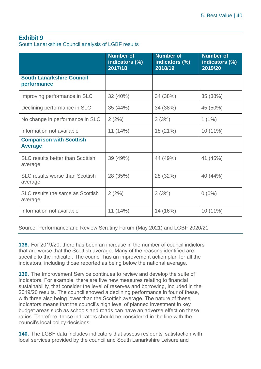#### <span id="page-39-0"></span>**Exhibit 9**

South Lanarkshire Council analysis of LGBF results

|                                                    | <b>Number of</b><br>indicators (%)<br>2017/18 | <b>Number of</b><br>indicators (%)<br>2018/19 | <b>Number of</b><br>indicators (%)<br>2019/20 |
|----------------------------------------------------|-----------------------------------------------|-----------------------------------------------|-----------------------------------------------|
| <b>South Lanarkshire Council</b><br>performance    |                                               |                                               |                                               |
| Improving performance in SLC                       | 32 (40%)                                      | 34 (38%)                                      | 35 (38%)                                      |
| Declining performance in SLC                       | 35 (44%)                                      | 34 (38%)                                      | 45 (50%)                                      |
| No change in performance in SLC                    | 2(2%)                                         | 3(3%)                                         | $1(1\%)$                                      |
| Information not available                          | 11 (14%)                                      | 18 (21%)                                      | 10 (11%)                                      |
| <b>Comparison with Scottish</b><br><b>Average</b>  |                                               |                                               |                                               |
| <b>SLC results better than Scottish</b><br>average | 39 (49%)                                      | 44 (49%)                                      | 41 (45%)                                      |
| <b>SLC results worse than Scottish</b><br>average  | 28 (35%)                                      | 28 (32%)                                      | 40 (44%)                                      |
| SLC results the same as Scottish<br>average        | 2(2%)                                         | 3(3%)                                         | $0(0\%)$                                      |
| Information not available                          | 11 (14%)                                      | 14 (16%)                                      | 10 (11%)                                      |

Source: Performance and Review Scrutiny Forum (May 2021) and LGBF 2020/21

**138.** For 2019/20, there has been an increase in the number of council indictors that are worse that the Scottish average. Many of the reasons identified are specific to the indicator. The council has an improvement action plan for all the indicators, including those reported as being below the national average.

**139.** The Improvement Service continues to review and develop the suite of indicators. For example, there are five new measures relating to financial sustainability, that consider the level of reserves and borrowing, included in the 2019/20 results. The council showed a declining performance in four of these, with three also being lower than the Scottish average. The nature of these indicators means that the council's high level of planned investment in key budget areas such as schools and roads can have an adverse effect on these ratios. Therefore, these indicators should be considered in the line with the council's local policy decisions.

**140.** The LGBF data includes indicators that assess residents' satisfaction with local services provided by the council and South Lanarkshire Leisure and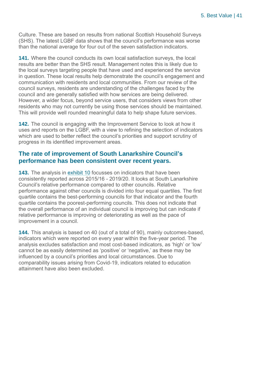Culture. These are based on results from national Scottish Household Surveys (SHS). The latest LGBF data shows that the council's performance was worse than the national average for four out of the seven satisfaction indicators.

**141.** Where the council conducts its own local satisfaction surveys, the local results are better than the SHS result. Management notes this is likely due to the local surveys targeting people that have used and experienced the service in question. These local results help demonstrate the council's engagement and communication with residents and local communities. From our review of the council surveys, residents are understanding of the challenges faced by the council and are generally satisfied with how services are being delivered. However, a wider focus, beyond service users, that considers views from other residents who may not currently be using those services should be maintained. This will provide well rounded meaningful data to help shape future services.

**142.** The council is engaging with the Improvement Service to look at how it uses and reports on the LGBF, with a view to refining the selection of indicators which are used to better reflect the council's priorities and support scrutiny of progress in its identified improvement areas.

#### **The rate of improvement of South Lanarkshire Council's performance has been consistent over recent years.**

**143.** The analysis in [exhibit 10](#page-41-0) focusses on indicators that have been consistently reported across 2015/16 - 2019/20. It looks at South Lanarkshire Council's relative performance compared to other councils. Relative performance against other councils is divided into four equal quartiles. The first quartile contains the best-performing councils for that indicator and the fourth quartile contains the poorest-performing councils. This does not indicate that the overall performance of an individual council is improving but can indicate if relative performance is improving or deteriorating as well as the pace of improvement in a council.

**144.** This analysis is based on 40 (out of a total of 90), mainly outcomes-based, indicators which were reported on every year within the five-year period. The analysis excludes satisfaction and most cost-based indicators, as 'high' or 'low' cannot be as easily determined as 'positive' or 'negative,' as these may be influenced by a council's priorities and local circumstances. Due to comparability issues arising from Covid-19, indicators related to education attainment have also been excluded.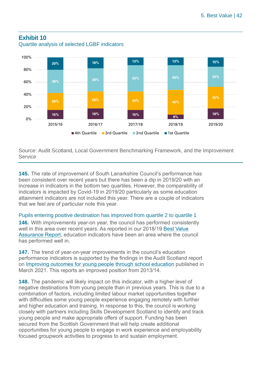#### <span id="page-41-0"></span>**Exhibit 10**



Quartile analysis of selected LGBF indicators

Source: Audit Scotland, Local Government Benchmarking Framework, and the Improvement Service

**145.** The rate of improvement of South Lanarkshire Council's performance has been consistent over recent years but there has been a dip in 2019/20 with an increase in indicators in the bottom two quartiles. However, the comparability of indicators is impacted by Covid-19 in 2019/20 particularly as some education attainment indicators are not included this year. There are a couple of indicators that we feel are of particular note this year.

Pupils entering positive destination has improved from quartile 2 to quartile 1

**146.** With improvements year-on year, the council has performed consistently well in this area over recent years. As reported in our 2018/19 [Best Value](https://www.audit-scotland.gov.uk/uploads/docs/report/2019/bv_190328_south_lanarkshire.pdf)  [Assurance Report,](https://www.audit-scotland.gov.uk/uploads/docs/report/2019/bv_190328_south_lanarkshire.pdf) education indicators have been an area where the council has performed well in.

**147.** The trend of year-on-year improvements in the council's education performance indicators is supported by the findings in the Audit Scotland report on [Improving outcomes for young people](https://www.audit-scotland.gov.uk/report/improving-outcomes-for-young-people-through-school-education) through school education published in March 2021. This reports an improved position from 2013/14.

**148.** The pandemic will likely impact on this indicator, with a higher level of negative destinations from young people than in previous years. This is due to a combination of factors, including limited labour market opportunities together with difficulties some young people experience engaging remotely with further and higher education and training. In response to this, the council is working closely with partners including Skills Development Scotland to identify and track young people and make appropriate offers of support. Funding has been secured from the Scottish Government that will help create additional opportunities for young people to engage in work experience and employability focused groupwork activities to progress to and sustain employment.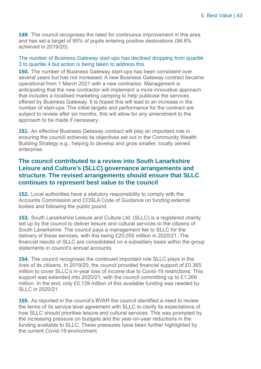**149.** The council recognises the need for continuous improvement in this area and has set a target of 95% of pupils entering positive destinations (94.8% achieved in 2019/20).

#### The number of Business Gateway start-ups has declined dropping from quartile 3 to quartile 4 but action is being taken to address this

**150.** The number of Business Gateway start-ups has been consistent over several years but has not increased. A new Business Gateway contract became operational from 1 March 2021 with a new contractor. Management is anticipating that the new contractor will implement a more innovative approach that includes a localised marketing camping to help publicise the services offered by Business Gateway. It is hoped this will lead to an increase in the number of start-ups. The initial targets and performance for the contract are subject to review after six months, this will allow for any amendment to the approach to be made if necessary.

**151.** An effective Business Getaway contract will play an important role in ensuring the council achieves its objectives set out in the Community Wealth Building Strategy e.g., helping to develop and grow smaller, locally owned enterprise.

#### **The council contributed to a review into South Lanarkshire Leisure and Culture's (SLLC) governance arrangements and structure. The revised arrangements should ensure that SLLC continues to represent best value to the council**

**152.** Local authorities have a statutory responsibility to comply with the Accounts Commission and COSLA Code of Guidance on funding external bodies and following the public pound.

**153.** South Lanarkshire Leisure and Culture Ltd. (SLLC) is a registered charity set up by the council to deliver leisure and cultural services to the citizens of South Lanarkshire. The council pays a management fee to SLLC for the delivery of these services, with this being £20.055 million in 2020/21. The financial results of SLLC are consolidated on a subsidiary basis within the group statements in council's annual accounts.

**154.** The council recognises the continued important role SLLC plays in the lives of its citizens. In 2019/20, the council provided financial support of £0.365 million to cover SLLC's in-year loss of income due to Covid-19 restrictions. This support was extended into 2020/21, with the council committing up to £1.269 million. In the end, only £0.139 million of this available funding was needed by SLLC in 2020/21.

**155.** As reported in the council's BVAR the council identified a need to review the terms of its service level agreement with SLLC to clarify its expectations of how SLLC should prioritise leisure and cultural services. This was prompted by the increasing pressure on budgets and the year-on-year reductions in the funding available to SLLC. These pressures have been further highlighted by the current Covid-19 environment.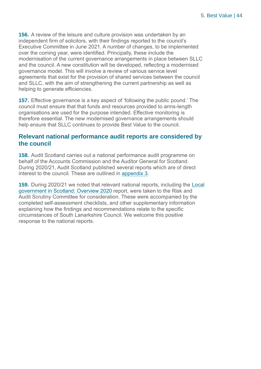**156.** A review of the leisure and culture provision was undertaken by an independent firm of solicitors, with their findings reported to the council's Executive Committee in June 2021. A number of changes, to be implemented over the coming year, were identified. Principally, these include the modernisation of the current governance arrangements in place between SLLC and the council. A new constitution will be developed, reflecting a modernised governance model. This will involve a review of various service level agreements that exist for the provision of shared services between the council and SLLC, with the aim of strengthening the current partnership as well as helping to generate efficiencies.

**157.** Effective governance is a key aspect of 'following the public pound.' The council must ensure that that funds and resources provided to arms-length organisations are used for the purpose intended. Effective monitoring is therefore essential. The new modernised governance arrangements should help ensure that SLLC continues to provide Best Value to the council.

#### **Relevant national performance audit reports are considered by the council**

**158.** Audit Scotland carries out a national performance audit programme on behalf of the Accounts Commission and the Auditor General for Scotland. During 2020/21, Audit Scotland published several reports which are of direct interest to the council. These are outlined in [appendix 3.](#page-53-0)

**159.** During 2020/21 we noted that relevant national reports, including the [Local](https://www.audit-scotland.gov.uk/uploads/docs/report/2020/nr_200623_local_government_overview.pdf)  [government in Scotland: Overview 2020](https://www.audit-scotland.gov.uk/uploads/docs/report/2020/nr_200623_local_government_overview.pdf) report, were taken to the Risk and Audit Scrutiny Committee for consideration. These were accompanied by the completed self-assessment checklists, and other supplementary information explaining how the findings and recommendations relate to the specific circumstances of South Lanarkshire Council. We welcome this positive response to the national reports.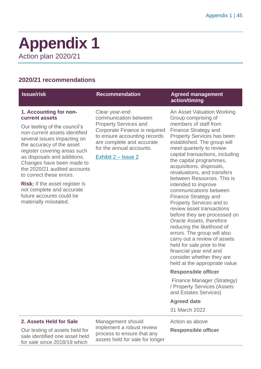### <span id="page-44-0"></span>**Appendix 1** Action plan 2020/21

#### **2020/21 recommendations**

| <b>Issue/risk</b>                                                                                                                                                                                                                                                                                                                                                                                                                                        | <b>Recommendation</b>                                                                                                                                                                                                    | <b>Agreed management</b><br>action/timing                                                                                                                                                                                                                                                                                                                                                                                                                                                                                                                                                                                                                                                                                         |
|----------------------------------------------------------------------------------------------------------------------------------------------------------------------------------------------------------------------------------------------------------------------------------------------------------------------------------------------------------------------------------------------------------------------------------------------------------|--------------------------------------------------------------------------------------------------------------------------------------------------------------------------------------------------------------------------|-----------------------------------------------------------------------------------------------------------------------------------------------------------------------------------------------------------------------------------------------------------------------------------------------------------------------------------------------------------------------------------------------------------------------------------------------------------------------------------------------------------------------------------------------------------------------------------------------------------------------------------------------------------------------------------------------------------------------------------|
| 1. Accounting for non-<br>current assets<br>Our testing of the council's<br>non-current assets identified<br>several issues impacting on<br>the accuracy of the asset<br>register covering areas such<br>as disposals and additions.<br>Changes have been made to<br>the 2020/21 audited accounts<br>to correct these errors.<br><b>Risk:</b> If the asset register is<br>not complete and accurate<br>future accounts could be<br>materially misstated. | Clear year-end<br>communication between<br><b>Property Services and</b><br>Corporate Finance is required<br>to ensure accounting records<br>are complete and accurate<br>for the annual accounts.<br>Exhibit 2 – Issue 2 | An Asset Valuation Working<br>Group comprising of<br>members of staff from<br><b>Finance Strategy and</b><br><b>Property Services has been</b><br>established. The group will<br>meet quarterly to review<br>capital transactions, including<br>the capital programmes,<br>acquisitions, disposals,<br>revaluations, and transfers<br>between Resources. This is<br>intended to improve<br>communications between<br><b>Finance Strategy and</b><br><b>Property Services and to</b><br>review asset transactions<br>before they are processed on<br>Oracle Assets, therefore<br>reducing the likelihood of<br>errors. The group will also<br>carry out a review of assets<br>held for sale prior to the<br>financial year end and |

#### **2. Assets Held for Sale**

Our testing of assets held for sale identified one asset held for sale since 2018/19 which

Management should implement a robust review process to ensure that any assets held for sale for longer Action as above

**Agreed date** 31 March 2022

consider whether they are held at the appropriate value

Finance Manager (Strategy) / Property Services (Assets and Estates Services)

**Responsible officer**

#### **Responsible officer**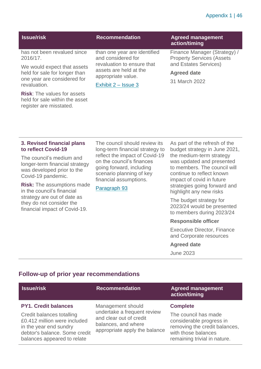#### Appendix 1 | 46

| <b>Issue/risk</b>                                                                                           | <b>Recommendation</b>                                                                             | <b>Agreed management</b><br>action/timing                        |
|-------------------------------------------------------------------------------------------------------------|---------------------------------------------------------------------------------------------------|------------------------------------------------------------------|
| has not been revalued since<br>2016/17.                                                                     | than one year are identified<br>and considered for                                                | Finance Manager (Strategy) /<br><b>Property Services (Assets</b> |
| We would expect that assets<br>held for sale for longer than<br>one year are considered for<br>revaluation. | revaluation to ensure that<br>assets are held at the<br>appropriate value.<br>Exhibit 2 – Issue 3 | and Estates Services)<br><b>Agreed date</b><br>31 March 2022     |
| <b>Risk:</b> The values for assets<br>held for sale within the asset<br>register are misstated.             |                                                                                                   |                                                                  |

#### **3. Revised financial plans to reflect Covid-19**

The council's medium and longer-term financial strategy was developed prior to the Covid-19 pandemic.

**Risk:** The assumptions made in the council's financial strategy are out of date as they do not consider the financial impact of Covid-19.

The council should review its long-term financial strategy to reflect the impact of Covid-19 on the council's finances going forward, including scenario planning of key financial assumptions.

#### [Paragraph 93](#page-26-2)

As part of the refresh of the budget strategy in June 2021, the medium-term strategy was updated and presented to members. The council will continue to reflect known impact of covid in future strategies going forward and highlight any new risks

The budget strategy for 2023/24 would be presented to members during 2023/24

#### **Responsible officer**

Executive Director, Finance and Corporate resources

#### **Agreed date**

June 2023

#### **Follow-up of prior year recommendations**

| <b>Issue/risk</b>                                                                                                                                                                  | <b>Recommendation</b>                                                                                                               | <b>Agreed management</b><br>action/timing                                                                                                                   |
|------------------------------------------------------------------------------------------------------------------------------------------------------------------------------------|-------------------------------------------------------------------------------------------------------------------------------------|-------------------------------------------------------------------------------------------------------------------------------------------------------------|
| <b>PY1. Credit balances</b><br>Credit balances totalling<br>£0.412 million were included<br>in the year end sundry<br>debtor's balance. Some credit<br>balances appeared to relate | Management should<br>undertake a frequent review<br>and clear out of credit<br>balances, and where<br>appropriate apply the balance | <b>Complete</b><br>The council has made<br>considerable progress in<br>removing the credit balances,<br>with those balances<br>remaining trivial in nature. |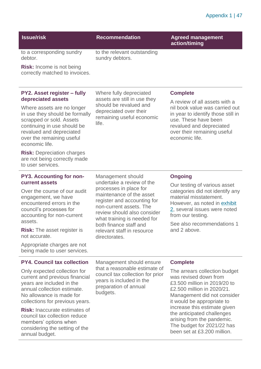#### Appendix 1 | 47

#### **Issue/risk Recommendation Agreed management**

sundry debtors.

life.

to the relevant outstanding

Where fully depreciated assets are still in use they should be revalued and depreciated over their remaining useful economic

Management should undertake a review of the processes in place for maintenance of the asset register and accounting for non-current assets. The review should also consider what training is needed for both finance staff and relevant staff in resource

**action/timing**

to a corresponding sundry debtor.

**Risk:** Income is not being correctly matched to invoices.

#### **PY2. Asset register – fully depreciated assets**

Where assets are no longer in use they should be formally scrapped or sold. Assets continuing in use should be revalued and depreciated over the remaining useful economic life.

**Risk:** Depreciation charges are not being correctly made to user services.

#### **PY3. Accounting for noncurrent assets**

Over the course of our audit engagement, we have encountered errors in the council's processes for accounting for non-current assets.

**Risk:** The asset register is not accurate.

Appropriate charges are not being made to user services.

#### **PY4. Council tax collection**

Only expected collection for current and previous financial years are included in the annual collection estimate. No allowance is made for collections for previous years.

**Risk:** Inaccurate estimates of council tax collection reduce members' options when considering the setting of the annual budget.

directorates. Management should ensure that a reasonable estimate of council tax collection for prior years is included in the preparation of annual

budgets.

#### **Complete**

A review of all assets with a nil book value was carried out in year to identify those still in use. These have been revalued and depreciated over their remaining useful economic life.

#### **Ongoing**

Our testing of various asset categories did not identify any material misstatement. However, as noted in [exhibit](#page-9-0)  [2,](#page-9-0) several issues were noted from our testing.

See also recommendations 1 and 2 above.

#### **Complete**

The arrears collection budget was revised down from £3.500 million in 2019/20 to £2.500 million in 2020/21. Management did not consider it would be appropriate to increase this estimate given the anticipated challenges arising from the pandemic. The budget for 2021/22 has been set at £3.200 million.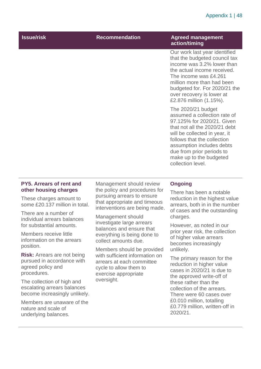#### Appendix 1 | 48

| <b>Issue/risk</b> | <b>Recommendation</b> | <b>Agreed management</b>                                                                                                                                                                                                                                                                     |
|-------------------|-----------------------|----------------------------------------------------------------------------------------------------------------------------------------------------------------------------------------------------------------------------------------------------------------------------------------------|
|                   |                       | action/timing<br>Our work last year identified<br>that the budgeted council tax<br>income was 3.2% lower than<br>the actual income received.<br>The income was £4.261<br>million more than had been<br>budgeted for. For 2020/21 the<br>over recovery is lower at<br>£2.876 million (1.15%). |
|                   |                       | The 2020/21 budget<br>assumed a collection rate of<br>97.125% for 2020/21. Given<br>that not all the 2020/21 debt<br>will be collected in year, it<br>follows that the collection<br>assumption includes debts<br>due from prior periods to<br>make up to the budgeted<br>collection level.  |

#### **PY5. Arrears of rent and other housing charges**

These charges amount to some £20.137 million in total.

There are a number of individual arrears balances for substantial amounts.

Members receive little information on the arrears position.

**Risk:** Arrears are not being pursued in accordance with agreed policy and procedures.

The collection of high and escalating arrears balances become increasingly unlikely.

Members are unaware of the nature and scale of underlying balances.

Management should review the policy and procedures for pursuing arrears to ensure that appropriate and timeous interventions are being made.

Management should investigate large arrears balances and ensure that everything is being done to collect amounts due.

Members should be provided with sufficient information on arrears at each committee cycle to allow them to exercise appropriate oversight.

#### **Ongoing**

There has been a notable reduction in the highest value arrears, both in in the number of cases and the outstanding charges.

However, as noted in our prior year risk, the collection of higher value arrears becomes increasingly unlikely.

The primary reason for the reduction in higher value cases in 2020/21 is due to the approved write-off of these rather than the collection of the arrears. There were 60 cases over £0.010 million, totalling £0.779 million, written-off in 2020/21.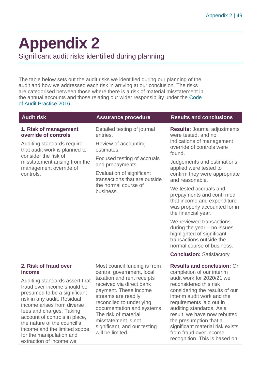## <span id="page-48-0"></span>**Appendix 2**

Significant audit risks identified during planning

The table below sets out the audit risks we identified during our planning of the audit and how we addressed each risk in arriving at our conclusion. The risks are categorised between those where there is a risk of material misstatement in the annual accounts and those relating our wider responsibility under the [Code](http://www.audit-scotland.gov.uk/report/code-of-audit-practice-2016)  [of Audit Practice 2016.](http://www.audit-scotland.gov.uk/report/code-of-audit-practice-2016)

| <b>Audit risk</b>                                                                                                                                                                                                                                                                                                                                                                | <b>Assurance procedure</b>                                                                                                                                                                                                                                                                                                       | <b>Results and conclusions</b>                                                                                                                                                                                                                                                                                                                                                                         |
|----------------------------------------------------------------------------------------------------------------------------------------------------------------------------------------------------------------------------------------------------------------------------------------------------------------------------------------------------------------------------------|----------------------------------------------------------------------------------------------------------------------------------------------------------------------------------------------------------------------------------------------------------------------------------------------------------------------------------|--------------------------------------------------------------------------------------------------------------------------------------------------------------------------------------------------------------------------------------------------------------------------------------------------------------------------------------------------------------------------------------------------------|
| 1. Risk of management<br>override of controls                                                                                                                                                                                                                                                                                                                                    | Detailed testing of journal<br>entries.                                                                                                                                                                                                                                                                                          | <b>Results: Journal adjustments</b><br>were tested, and no                                                                                                                                                                                                                                                                                                                                             |
| Auditing standards require<br>that audit work is planned to                                                                                                                                                                                                                                                                                                                      | Review of accounting<br>estimates.                                                                                                                                                                                                                                                                                               | indications of management<br>override of controls were<br>found.                                                                                                                                                                                                                                                                                                                                       |
| consider the risk of<br>misstatement arising from the<br>management override of                                                                                                                                                                                                                                                                                                  | Focused testing of accruals<br>and prepayments.                                                                                                                                                                                                                                                                                  | Judgements and estimations<br>applied were tested to                                                                                                                                                                                                                                                                                                                                                   |
| controls.                                                                                                                                                                                                                                                                                                                                                                        | Evaluation of significant<br>transactions that are outside<br>the normal course of<br>business.                                                                                                                                                                                                                                  | confirm they were appropriate<br>and reasonable.                                                                                                                                                                                                                                                                                                                                                       |
|                                                                                                                                                                                                                                                                                                                                                                                  |                                                                                                                                                                                                                                                                                                                                  | We tested accruals and<br>prepayments and confirmed<br>that income and expenditure<br>was properly accounted for in<br>the financial year.                                                                                                                                                                                                                                                             |
|                                                                                                                                                                                                                                                                                                                                                                                  |                                                                                                                                                                                                                                                                                                                                  | We reviewed transactions<br>during the year $-$ no issues<br>highlighted of significant<br>transactions outside the<br>normal course of business.                                                                                                                                                                                                                                                      |
|                                                                                                                                                                                                                                                                                                                                                                                  |                                                                                                                                                                                                                                                                                                                                  | <b>Conclusion: Satisfactory</b>                                                                                                                                                                                                                                                                                                                                                                        |
| 2. Risk of fraud over<br>income<br>Auditing standards assert that<br>fraud over income should be<br>presumed to be a significant<br>risk in any audit. Residual<br>income arises from diverse<br>fees and charges. Taking<br>account of controls in place,<br>the nature of the council's<br>income and the limited scope<br>for the manipulation and<br>extraction of income we | Most council funding is from<br>central government, local<br>taxation and rent receipts<br>received via direct bank<br>payment. These income<br>streams are readily<br>reconciled to underlying<br>documentation and systems.<br>The risk of material<br>misstatement is not<br>significant, and our testing<br>will be limited. | <b>Results and conclusion: On</b><br>completion of our interim<br>audit work for 2020/21 we<br>reconsidered this risk<br>considering the results of our<br>interim audit work and the<br>requirements laid out in<br>auditing standards. As a<br>result, we have now rebutted<br>the presumption that a<br>significant material risk exists<br>from fraud over income<br>recognition. This is based on |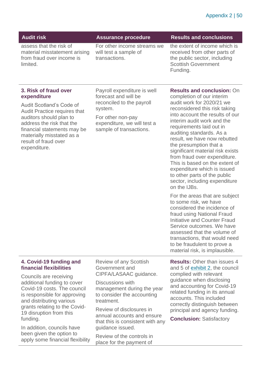| <b>Audit risk</b>                                                                                                                                                                                                                                                                                                                                                                   | <b>Assurance procedure</b>                                                                                                                                                                                                                                                                                             | <b>Results and conclusions</b>                                                                                                                                                                                                                                                                                                                                                                                                                                                                                                                                                                                                                                                                                                                                                                                                                                     |
|-------------------------------------------------------------------------------------------------------------------------------------------------------------------------------------------------------------------------------------------------------------------------------------------------------------------------------------------------------------------------------------|------------------------------------------------------------------------------------------------------------------------------------------------------------------------------------------------------------------------------------------------------------------------------------------------------------------------|--------------------------------------------------------------------------------------------------------------------------------------------------------------------------------------------------------------------------------------------------------------------------------------------------------------------------------------------------------------------------------------------------------------------------------------------------------------------------------------------------------------------------------------------------------------------------------------------------------------------------------------------------------------------------------------------------------------------------------------------------------------------------------------------------------------------------------------------------------------------|
| assess that the risk of<br>material misstatement arising<br>from fraud over income is<br>limited.                                                                                                                                                                                                                                                                                   | For other income streams we<br>will test a sample of<br>transactions.                                                                                                                                                                                                                                                  | the extent of income which is<br>received from other parts of<br>the public sector, including<br><b>Scottish Government</b><br>Funding.                                                                                                                                                                                                                                                                                                                                                                                                                                                                                                                                                                                                                                                                                                                            |
| 3. Risk of fraud over<br>expenditure<br>Audit Scotland's Code of<br><b>Audit Practice requires that</b><br>auditors should plan to<br>address the risk that the<br>financial statements may be<br>materially misstated as a<br>result of fraud over<br>expenditure.                                                                                                                 | Payroll expenditure is well<br>forecast and will be<br>reconciled to the payroll<br>system.<br>For other non-pay<br>expenditure, we will test a<br>sample of transactions.                                                                                                                                             | <b>Results and conclusion: On</b><br>completion of our interim<br>audit work for 2020/21 we<br>reconsidered this risk taking<br>into account the results of our<br>interim audit work and the<br>requirements laid out in<br>auditing standards. As a<br>result, we have now rebutted<br>the presumption that a<br>significant material risk exists<br>from fraud over expenditure.<br>This is based on the extent of<br>expenditure which is issued<br>to other parts of the public<br>sector, including expenditure<br>on the IJBs.<br>For the areas that are subject<br>to some risk, we have<br>considered the incidence of<br>fraud using National Fraud<br><b>Initiative and Counter Fraud</b><br>Service outcomes. We have<br>assessed that the volume of<br>transactions, that would need<br>to be fraudulent to prove a<br>material risk, is implausible. |
| 4. Covid-19 funding and<br><b>financial flexibilities</b><br>Councils are receiving<br>additional funding to cover<br>Covid-19 costs. The council<br>is responsible for approving<br>and distributing various<br>grants relating to the Covid-<br>19 disruption from this<br>funding.<br>In addition, councils have<br>been given the option to<br>annly como financial floyibility | <b>Review of any Scottish</b><br>Government and<br>CIPFA/LASAAC guidance.<br>Discussions with<br>management during the year<br>to consider the accounting<br>treatment.<br>Review of disclosures in<br>annual accounts and ensure<br>that this is consistent with any<br>guidance issued.<br>Review of the controls in | <b>Results: Other than issues 4</b><br>and 5 of exhibit 2, the council<br>complied with relevant<br>guidance when disclosing<br>and accounting for Covid-19<br>related funding in its annual<br>accounts. This included<br>correctly distinguish between<br>principal and agency funding.<br><b>Conclusion: Satisfactory</b>                                                                                                                                                                                                                                                                                                                                                                                                                                                                                                                                       |

place for the payment of

apply some financial flexibility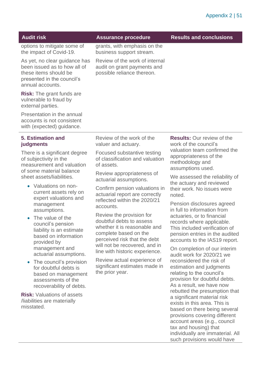| <b>Audit risk</b>                                                                                                                        | <b>Assurance procedure</b>                                                                  | <b>Results and conclusions</b>                                                                         |
|------------------------------------------------------------------------------------------------------------------------------------------|---------------------------------------------------------------------------------------------|--------------------------------------------------------------------------------------------------------|
| options to mitigate some of<br>the impact of Covid-19.                                                                                   | grants, with emphasis on the<br>business support stream.                                    |                                                                                                        |
| As yet, no clear guidance has<br>been issued as to how all of<br>these items should be<br>presented in the council's<br>annual accounts. | Review of the work of internal<br>audit on grant payments and<br>possible reliance thereon. |                                                                                                        |
| <b>Risk:</b> The grant funds are<br>vulnerable to fraud by<br>external parties.                                                          |                                                                                             |                                                                                                        |
| Presentation in the annual<br>accounts is not consistent<br>with (expected) guidance.                                                    |                                                                                             |                                                                                                        |
| <b>5. Estimation and</b><br>judgments                                                                                                    | Review of the work of the<br>valuer and actuary.                                            | <b>Results: Our review of the</b><br>work of the council's                                             |
| There is a significant degree<br>of subjectivity in the<br>measurement and valuation                                                     | Focused substantive testing<br>of classification and valuation<br>of assets.                | valuation team confirmed the<br>appropriateness of the<br>methodology and<br>المصصاد صصصائه مرممان مصا |

Review appropriateness of actuarial assumptions.

Confirm pension valuations in actuarial report are correctly reflected within the 2020/21 accounts.

Review the provision for doubtful debts to assess whether it is reasonable and complete based on the perceived risk that the debt will not be recovered, and in line with historic experience.

Review actual experience of significant estimates made in the prior year.

assumptions used.

We assessed the reliability of the actuary and reviewed their work. No issues were noted.

Pension disclosures agreed in full to information from actuaries, or to financial records where applicable. This included verification of pension entries in the audited accounts to the IAS19 report.

On completion of our interim audit work for 2020/21 we reconsidered the risk of estimation and judgments relating to the council's provision for doubtful debts. As a result, we have now rebutted the presumption that a significant material risk exists in this area. This is based on there being several provisions covering different account areas (e.g., council tax and housing) that individually are immaterial. All such provisions would have

measurement and valuation of some material balance sheet assets/liabilities.

- Valuations on noncurrent assets rely on expert valuations and management assumptions.
- The value of the council's pension liability is an estimate based on information provided by management and actuarial assumptions.
- The council's provision for doubtful debts is based on management assessments of the recoverability of debts.

**Risk:** Valuations of assets /liabilities are materially misstated.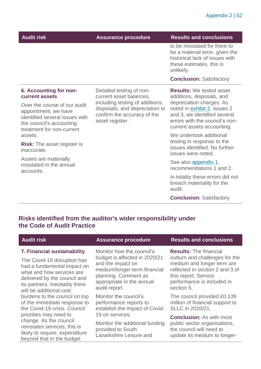| <b>Audit risk</b>                                                                                                                               | <b>Assurance procedure</b>                                                                                          | <b>Results and conclusions</b>                                                                                                                           |
|-------------------------------------------------------------------------------------------------------------------------------------------------|---------------------------------------------------------------------------------------------------------------------|----------------------------------------------------------------------------------------------------------------------------------------------------------|
|                                                                                                                                                 |                                                                                                                     | to be misstated for there to<br>be a material error, given the<br>historical lack of issues with<br>these estimates, this is<br>unlikely.                |
|                                                                                                                                                 |                                                                                                                     | <b>Conclusion: Satisfactory</b>                                                                                                                          |
| 6. Accounting for non-<br>current assets                                                                                                        | Detailed testing of non-<br>current asset balances,                                                                 | <b>Results:</b> We tested asset<br>additions, disposals, and                                                                                             |
| Over the course of our audit<br>appointment, we have<br>identified several issues with<br>the council's accounting<br>treatment for non-current | including testing of additions,<br>disposals, and depreciation to<br>confirm the accuracy of the<br>asset register. | depreciation charges. As<br>noted in exhibit 2, issues 2<br>and 3, we identified several<br>errors with the council's non-<br>current assets accounting. |
| assets.                                                                                                                                         |                                                                                                                     | We undertook additional                                                                                                                                  |
| <b>Risk:</b> The asset register is<br>inaccurate.                                                                                               |                                                                                                                     | testing in response to the<br>issues identified. No further<br>issues were noted.                                                                        |
| Assets are materially<br>misstated in the annual<br>accounts.                                                                                   |                                                                                                                     | See also appendix 1,<br>recommendations 1 and 2.                                                                                                         |
|                                                                                                                                                 |                                                                                                                     | In totality these errors did not<br>breach materiality for the<br>audit.                                                                                 |
|                                                                                                                                                 |                                                                                                                     | <b>Conclusion: Satisfactory</b>                                                                                                                          |

#### **Risks identified from the auditor's wider responsibility under the Code of Audit Practice**

### **7. Financial sustainability**

The Covid-19 disruption has had a fundamental impact on what and how services are delivered by the council and its partners. Inevitably there will be additional cost burdens to the council on top of the immediate response to the Covid-19 crisis. Council priorities may need to change. As the council reinstates services, this is likely to require, expenditure beyond that in the budget

Monitor how the council's budget is affected in 2020/21 and the impact on medium/longer-term financial planning. Comment as appropriate in the annual audit report.

Monitor the council's performance reports to establish the impact of Covid-19 on services.

Monitor the additional funding provided to South Lanarkshire Leisure and

#### **Audit risk Assurance procedure Results and conclusions**

**Results:** The financial outturn and challenges for the medium and longer term are reflected in section 2 and 3 of this report. Service performance is included in section 5.

The council provided £0.139 million of financial support to SLLC in 2020/21.

**Conclusion:** As with most public sector organisations, the council will need to update its medium to longer-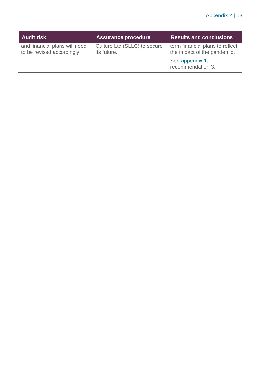| <b>Audit risk</b>                                           | <b>Assurance procedure</b>                  | <b>Results and conclusions</b>                                 |
|-------------------------------------------------------------|---------------------------------------------|----------------------------------------------------------------|
| and financial plans will need<br>to be revised accordingly. | Culture Ltd (SLLC) to secure<br>its future. | term financial plans to reflect<br>the impact of the pandemic. |
|                                                             |                                             | See appendix 1,<br>recommendation 3.                           |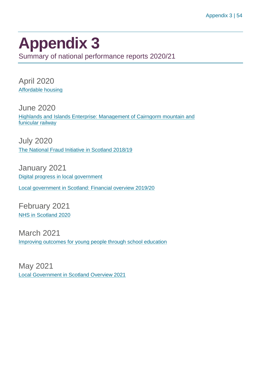### <span id="page-53-0"></span>**Appendix 3** Summary of national performance reports 2020/21

April 2020 [Affordable housing](https://www.audit-scotland.gov.uk/report/affordable-housing)

June 2020 [Highlands and Islands Enterprise: Management of Cairngorm mountain and](https://www.audit-scotland.gov.uk/report/highlands-and-islands-enterprise-management-of-cairngorm-mountain-and-funicular-railway)  [funicular railway](https://www.audit-scotland.gov.uk/report/highlands-and-islands-enterprise-management-of-cairngorm-mountain-and-funicular-railway)

July 2020 [The National Fraud Initiative in Scotland 2018/19](https://www.audit-scotland.gov.uk/report/the-national-fraud-initiative-in-scotland-201819)

January 2021 [Digital progress in local government](https://www.audit-scotland.gov.uk/report/digital-progress-in-local-government)

[Local government in Scotland: Financial overview 2019/20](https://www.audit-scotland.gov.uk/report/local-government-in-scotland-financial-overview-201920)

February 2021 [NHS in Scotland 2020](https://www.audit-scotland.gov.uk/report/nhs-in-scotland-2020)

March 2021 [Improving outcomes for young people through school education](https://www.audit-scotland.gov.uk/report/improving-outcomes-for-young-people-through-school-education)

May 2021 [Local Government in Scotland Overview 2021](https://www.audit-scotland.gov.uk/report/local-government-in-scotland-overview-2021)